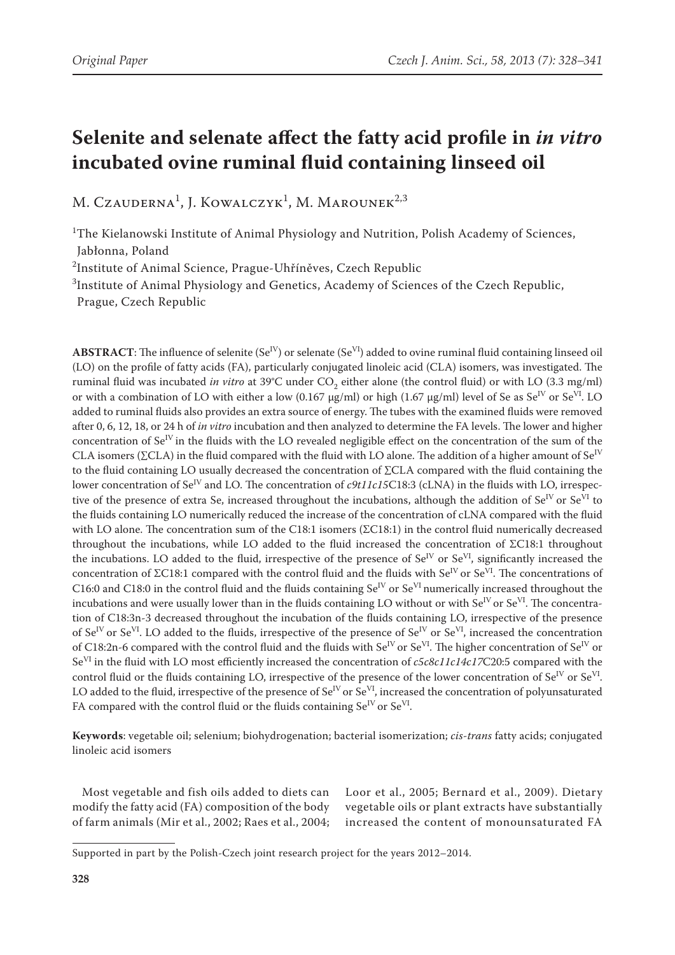# **Selenite and selenate affect the fatty acid profile in** *in vitro*  **incubated ovine ruminal fluid containing linseed oil**

M. Czauderna<sup>1</sup>, J. Kowalczyk<sup>1</sup>, M. Marounek<sup>2,3</sup>

<sup>1</sup>The Kielanowski Institute of Animal Physiology and Nutrition, Polish Academy of Sciences, Jabłonna, Poland

2 Institute of Animal Science, Prague-Uhříněves, Czech Republic

3 Institute of Animal Physiology and Genetics, Academy of Sciences of the Czech Republic, Prague, Czech Republic

**ABSTRACT**: The influence of selenite ( $Se^{IV}$ ) or selenate ( $Se^{VI}$ ) added to ovine ruminal fluid containing linseed oil (LO) on the profile of fatty acids (FA), particularly conjugated linoleic acid (CLA) isomers, was investigated. The ruminal fluid was incubated *in vitro* at 39°C under CO<sub>2</sub> either alone (the control fluid) or with LO (3.3 mg/ml) or with a combination of LO with either a low (0.167  $\mu$ g/ml) or high (1.67  $\mu$ g/ml) level of Se as Se<sup>IV</sup> or Se<sup>VI</sup>. LO added to ruminal fluids also provides an extra source of energy. The tubes with the examined fluids were removed after 0, 6, 12, 18, or 24 h of *in vitro* incubation and then analyzed to determine the FA levels. The lower and higher concentration of Se<sup>IV</sup> in the fluids with the LO revealed negligible effect on the concentration of the sum of the CLA isomers ( $\Sigma$ CLA) in the fluid compared with the fluid with LO alone. The addition of a higher amount of Se<sup>IV</sup> to the fluid containing LO usually decreased the concentration of ∑CLA compared with the fluid containing the lower concentration of Se<sup>IV</sup> and LO. The concentration of *c9t11c15*C18:3 (cLNA) in the fluids with LO, irrespective of the presence of extra Se, increased throughout the incubations, although the addition of  $Se^{IV}$  or  $Se^{VI}$  to the fluids containing LO numerically reduced the increase of the concentration of cLNA compared with the fluid with LO alone. The concentration sum of the C18:1 isomers (ΣC18:1) in the control fluid numerically decreased throughout the incubations, while LO added to the fluid increased the concentration of ΣC18:1 throughout the incubations. LO added to the fluid, irrespective of the presence of Se<sup>IV</sup> or Se<sup>VI</sup>, significantly increased the concentration of ΣC18:1 compared with the control fluid and the fluids with Se<sup>IV</sup> or Se<sup>VI</sup>. The concentrations of C16:0 and C18:0 in the control fluid and the fluids containing  $Se^{IV}$  or  $Se^{VI}$  numerically increased throughout the incubations and were usually lower than in the fluids containing LO without or with  $Se^{IV}$  or  $Se^{VI}$ . The concentration of C18:3n-3 decreased throughout the incubation of the fluids containing LO, irrespective of the presence of  $Se^{IV}$  or  $Se^{VI}$ . LO added to the fluids, irrespective of the presence of  $Se^{IV}$  or  $Se^{VI}$ , increased the concentration of C18:2n-6 compared with the control fluid and the fluids with  $Se^{IV}$  or  $Se^{VI}$ . The higher concentration of  $Se^{IV}$  or SeVI in the fluid with LO most efficiently increased the concentration of *c5c8c11c14c17*C20:5 compared with the control fluid or the fluids containing LO, irrespective of the presence of the lower concentration of  $Se^{IV}$  or  $Se^{VI}$ . LO added to the fluid, irrespective of the presence of  $Se^{IV}$  or  $Se^{VI}$ , increased the concentration of polyunsaturated FA compared with the control fluid or the fluids containing  $Se^{IV}$  or  $Se^{VI}$ .

**Keywords**: vegetable oil; selenium; biohydrogenation; bacterial isomerization; *cis-trans* fatty acids; conjugated linoleic acid isomers

Most vegetable and fish oils added to diets can modify the fatty acid (FA) composition of the body of farm animals (Mir et al., 2002; Raes et al., 2004;

Loor et al., 2005; Bernard et al., 2009). Dietary vegetable oils or plant extracts have substantially increased the content of monounsaturated FA

Supported in part by the Polish-Czech joint research project for the years 2012–2014.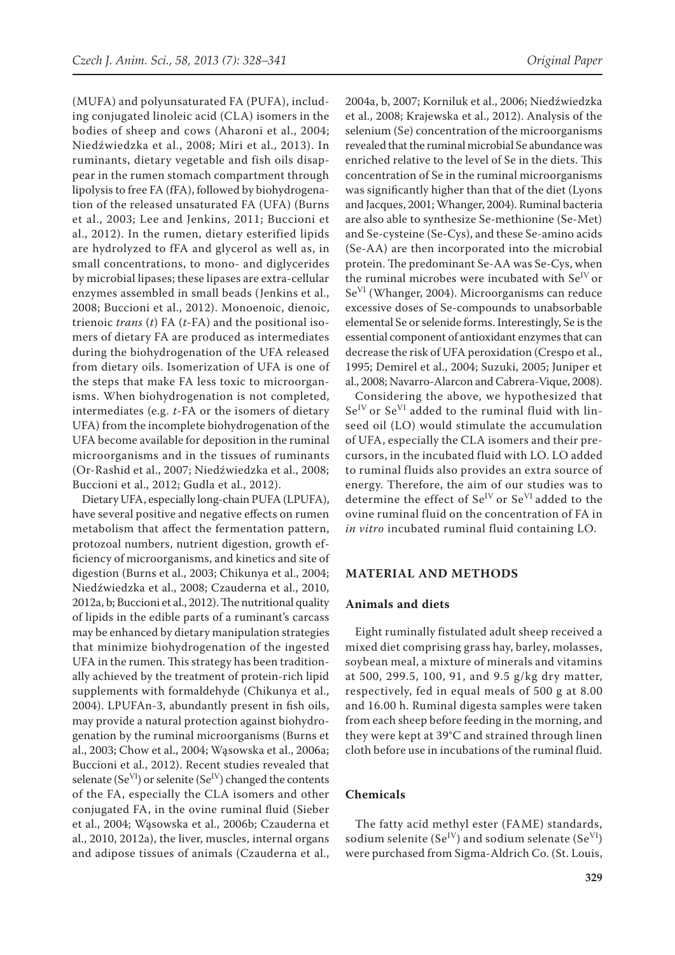(MUFA) and polyunsaturated FA (PUFA), including conjugated linoleic acid (CLA) isomers in the bodies of sheep and cows (Aharoni et al., 2004; Niedźwiedzka et al., 2008; Miri et al., 2013). In ruminants, dietary vegetable and fish oils disappear in the rumen stomach compartment through lipolysis to free FA (fFA), followed by biohydrogenation of the released unsaturated FA (UFA) (Burns et al., 2003; Lee and Jenkins, 2011; Buccioni et al., 2012). In the rumen, dietary esterified lipids are hydrolyzed to fFA and glycerol as well as, in small concentrations, to mono- and diglycerides by microbial lipases; these lipases are extra-cellular enzymes assembled in small beads (Jenkins et al., 2008; Buccioni et al., 2012). Monoenoic, dienoic, trienoic *trans* (*t*) FA (*t*-FA) and the positional isomers of dietary FA are produced as intermediates during the biohydrogenation of the UFA released from dietary oils. Isomerization of UFA is one of the steps that make FA less toxic to microorganisms. When biohydrogenation is not completed, intermediates (e.g. *t*-FA or the isomers of dietary UFA) from the incomplete biohydrogenation of the UFA become available for deposition in the ruminal microorganisms and in the tissues of ruminants (Or-Rashid et al., 2007; Niedźwiedzka et al., 2008; Buccioni et al., 2012; Gudla et al., 2012).

Dietary UFA, especially long-chain PUFA (LPUFA), have several positive and negative effects on rumen metabolism that affect the fermentation pattern, protozoal numbers, nutrient digestion, growth efficiency of microorganisms, and kinetics and site of digestion (Burns et al., 2003; Chikunya et al., 2004; Niedźwiedzka et al., 2008; Czauderna et al., 2010, 2012a, b; Buccioni et al., 2012). The nutritional quality of lipids in the edible parts of a ruminant's carcass may be enhanced by dietary manipulation strategies that minimize biohydrogenation of the ingested UFA in the rumen. This strategy has been traditionally achieved by the treatment of protein-rich lipid supplements with formaldehyde (Chikunya et al., 2004). LPUFAn-3, abundantly present in fish oils, may provide a natural protection against biohydrogenation by the ruminal microorganisms (Burns et al., 2003; Chow et al., 2004; Wąsowska et al., 2006a; Buccioni et al., 2012). Recent studies revealed that selenate (Se<sup>VI</sup>) or selenite (Se<sup>IV</sup>) changed the contents of the FA, especially the CLA isomers and other conjugated FA, in the ovine ruminal fluid (Sieber et al., 2004; Wąsowska et al., 2006b; Czauderna et al., 2010, 2012a), the liver, muscles, internal organs and adipose tissues of animals (Czauderna et al.,

2004a, b, 2007; Korniluk et al., 2006; Niedźwiedzka et al., 2008; Krajewska et al., 2012). Analysis of the selenium (Se) concentration of the microorganisms revealed that the ruminal microbial Se abundance was enriched relative to the level of Se in the diets. This concentration of Se in the ruminal microorganisms was significantly higher than that of the diet (Lyons and Jacques, 2001; Whanger, 2004). Ruminal bacteria are also able to synthesize Se-methionine (Se-Met) and Se-cysteine (Se-Cys), and these Se-amino acids (Se-AA) are then incorporated into the microbial protein. The predominant Se-AA was Se-Cys, when the ruminal microbes were incubated with  $Se<sup>IV</sup>$  or SeVI (Whanger, 2004). Microorganisms can reduce excessive doses of Se-compounds to unabsorbable elemental Se or selenide forms. Interestingly, Se is the essential component of antioxidant enzymes that can decrease the risk of UFA peroxidation (Crespo et al., 1995; Demirel et al., 2004; Suzuki, 2005; Juniper et al., 2008; Navarro-Alarcon and Cabrera-Vique, 2008).

Considering the above, we hypothesized that  $Se<sup>IV</sup>$  or  $Se<sup>VI</sup>$  added to the ruminal fluid with linseed oil (LO) would stimulate the accumulation of UFA, especially the CLA isomers and their precursors, in the incubated fluid with LO. LO added to ruminal fluids also provides an extra source of energy. Therefore, the aim of our studies was to determine the effect of Se<sup>IV</sup> or Se<sup>VI</sup> added to the ovine ruminal fluid on the concentration of FA in *in vitro* incubated ruminal fluid containing LO.

#### **MATERIAL AND METHODS**

#### **Animals and diets**

Eight ruminally fistulated adult sheep received a mixed diet comprising grass hay, barley, molasses, soybean meal, a mixture of minerals and vitamins at 500, 299.5, 100, 91, and 9.5 g/kg dry matter, respectively, fed in equal meals of 500 g at 8.00 and 16.00 h. Ruminal digesta samples were taken from each sheep before feeding in the morning, and they were kept at 39°C and strained through linen cloth before use in incubations of the ruminal fluid.

## **Chemicals**

The fatty acid methyl ester (FAME) standards, sodium selenite (Se<sup>IV</sup>) and sodium selenate (Se<sup>VI</sup>) were purchased from Sigma-Aldrich Co. (St. Louis,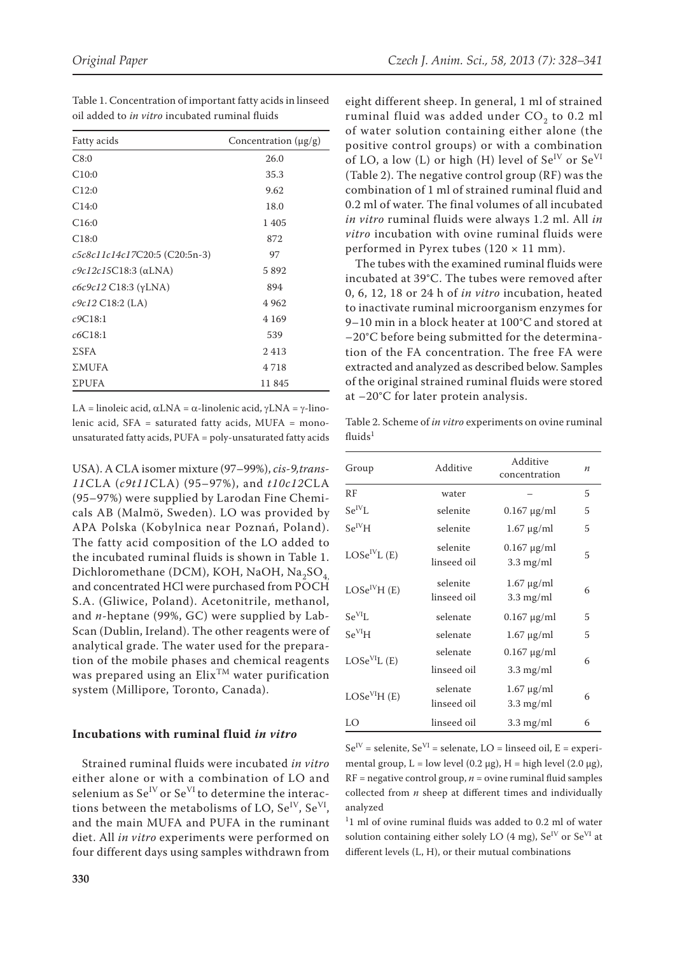| Fatty acids                     | Concentration $(\mu g/g)$ |
|---------------------------------|---------------------------|
| C8:0                            | 26.0                      |
| C10:0                           | 35.3                      |
| C12:0                           | 9.62                      |
| C14:0                           | 18.0                      |
| C <sub>16:0</sub>               | 1405                      |
| C <sub>18:0</sub>               | 872                       |
| c5c8c11c14c17C20:5 (C20:5n-3)   | 97                        |
| $c9c12c15C18:3$ ( $\alpha$ LNA) | 5892                      |
| $c6c9c12$ C18:3 ( $\gamma$ LNA) | 894                       |
| $c9c12$ C18:2 (LA)              | 4962                      |
| c9C18:1                         | 4 1 6 9                   |
| c6C18:1                         | 539                       |
| $\Sigma$ SFA                    | 2413                      |
| ΣMUFA                           | 4718                      |
| ΣPUFA                           | 11845                     |

Table 1. Concentration of important fatty acids in linseed oil added to *in vitro* incubated ruminal fluids

LA = linoleic acid,  $\alpha$ LNA =  $\alpha$ -linolenic acid,  $\gamma$ LNA =  $\gamma$ -linolenic acid, SFA = saturated fatty acids, MUFA = monounsaturated fatty acids, PUFA = poly-unsaturated fatty acids

USA). A CLA isomer mixture (97–99%), *cis-9,trans-11*CLA (*c9t11*CLA) (95–97%), and *t10c12*CLA (95–97%) were supplied by Larodan Fine Chemicals AB (Malmö, Sweden). LO was provided by APA Polska (Kobylnica near Poznań, Poland). The fatty acid composition of the LO added to the incubated ruminal fluids is shown in Table 1. Dichloromethane (DCM), KOH, NaOH, Na<sub>2</sub>SO<sub>4</sub> and concentrated HCl were purchased from POCH S.A. (Gliwice, Poland). Acetonitrile, methanol, and *n*-heptane (99%, GC) were supplied by Lab-Scan (Dublin, Ireland). The other reagents were of analytical grade. The water used for the preparation of the mobile phases and chemical reagents was prepared using an  $E$ lix<sup>TM</sup> water purification system (Millipore, Toronto, Canada).

#### **Incubations with ruminal fluid** *in vitro*

Strained ruminal fluids were incubated *in vitro* either alone or with a combination of LO and selenium as  $Se^{IV}$  or  $Se^{VI}$  to determine the interactions between the metabolisms of LO,  $Se^{IV}$ ,  $Se^{VI}$ , and the main MUFA and PUFA in the ruminant diet. All *in vitro* experiments were performed on four different days using samples withdrawn from

eight different sheep. In general, 1 ml of strained ruminal fluid was added under  $CO<sub>2</sub>$  to 0.2 ml of water solution containing either alone (the positive control groups) or with a combination of LO, a low (L) or high (H) level of  $Se^{IV}$  or  $Se^{VI}$ (Table 2). The negative control group (RF) was the combination of 1 ml of strained ruminal fluid and 0.2 ml of water. The final volumes of all incubated *in vitro* ruminal fluids were always 1.2 ml. All *in vitro* incubation with ovine ruminal fluids were performed in Pyrex tubes  $(120 \times 11 \text{ mm})$ .

The tubes with the examined ruminal fluids were incubated at 39°C. The tubes were removed after 0, 6, 12, 18 or 24 h of *in vitro* incubation, heated to inactivate ruminal microorganism enzymes for 9–10 min in a block heater at 100°C and stored at –20°C before being submitted for the determination of the FA concentration. The free FA were extracted and analyzed as described below. Samples of the original strained ruminal fluids were stored at –20°C for later protein analysis.

Table 2. Scheme of *in vitro* experiments on ovine ruminal fluids $1$ 

| Group                                 | Additive                | Additive<br>concentration               | $\boldsymbol{n}$ |
|---------------------------------------|-------------------------|-----------------------------------------|------------------|
| RF                                    | water                   |                                         | 5                |
| $Se^{IV}L$                            | selenite                | $0.167 \mu g/ml$                        | 5                |
| $Se^{IV}H$                            | selenite                | $1.67 \mu g/ml$                         | 5                |
| LOSe <sup>IV</sup> L(E)               | selenite<br>linseed oil | $0.167 \mu g/ml$<br>$3.3 \text{ mg/ml}$ | 5                |
| LOSe <sup>IV</sup> H(E)               | selenite<br>linseed oil | $1.67 \mu g/ml$<br>$3.3 \text{ mg/ml}$  | 6                |
| $Se^{VI}L$                            | selenate                | $0.167 \mu g/ml$                        | 5                |
| $\mathrm{Se}^{\mathrm{VI}}\mathrm{H}$ | selenate                | $1.67 \mu g/ml$                         | 5                |
| LOSe <sup>VI</sup> L(E)               | selenate<br>linseed oil | $0.167 \mu g/ml$<br>$3.3 \text{ mg/ml}$ | 6                |
| LOSe <sup>VI</sup> H(E)               | selenate<br>linseed oil | $1.67 \mu g/ml$<br>$3.3 \text{ mg/ml}$  | 6                |
| LO                                    | linseed oil             | $3.3 \text{ mg/ml}$                     | 6                |

 $Se^{IV}$  = selenite,  $Se^{VI}$  = selenate,  $LO$  = linseed oil,  $E$  = experimental group,  $L = low$  level (0.2 μg),  $H = high$  level (2.0 μg),  $RF = negative control group, n = ovine ruminal fluid samples$ collected from *n* sheep at different times and individually analyzed

 $11$  ml of ovine ruminal fluids was added to 0.2 ml of water solution containing either solely LO (4 mg),  $Se^{IV}$  or  $Se^{VI}$  at different levels (L, H), or their mutual combinations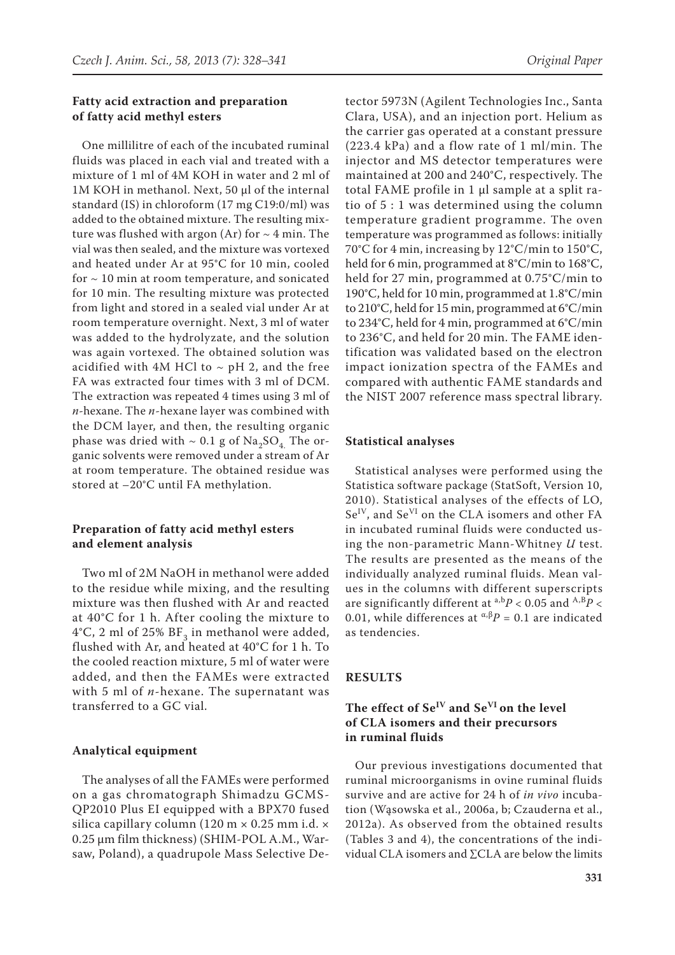## **Fatty acid extraction and preparation of fatty acid methyl esters**

One millilitre of each of the incubated ruminal fluids was placed in each vial and treated with a mixture of 1 ml of 4M KOH in water and 2 ml of 1M KOH in methanol. Next, 50 μl of the internal standard (IS) in chloroform (17 mg C19:0/ml) was added to the obtained mixture. The resulting mixture was flushed with argon (Ar) for  $\sim$  4 min. The vial was then sealed, and the mixture was vortexed and heated under Ar at 95°C for 10 min, cooled for  $\sim$  10 min at room temperature, and sonicated for 10 min. The resulting mixture was protected from light and stored in a sealed vial under Ar at room temperature overnight. Next, 3 ml of water was added to the hydrolyzate, and the solution was again vortexed. The obtained solution was acidified with 4M HCl to  $\sim$  pH 2, and the free FA was extracted four times with 3 ml of DCM. The extraction was repeated 4 times using 3 ml of *n*-hexane. The *n*-hexane layer was combined with the DCM layer, and then, the resulting organic phase was dried with  $\sim 0.1$  g of Na<sub>2</sub>SO<sub>4</sub>. The organic solvents were removed under a stream of Ar at room temperature. The obtained residue was stored at –20°C until FA methylation.

## **Preparation of fatty acid methyl esters and element analysis**

Two ml of 2M NaOH in methanol were added to the residue while mixing, and the resulting mixture was then flushed with Ar and reacted at 40°C for 1 h. After cooling the mixture to 4°C, 2 ml of 25%  $BF_3$  in methanol were added, flushed with Ar, and heated at 40°C for 1 h. To the cooled reaction mixture, 5 ml of water were added, and then the FAMEs were extracted with 5 ml of *n*-hexane. The supernatant was transferred to a GC vial.

## **Analytical equipment**

The analyses of all the FAMEs were performed on a gas chromatograph Shimadzu GCMS-QP2010 Plus EI equipped with a BPX70 fused silica capillary column (120 m × 0.25 mm i.d. × 0.25 μm film thickness) (SHIM-POL A.M., Warsaw, Poland), a quadrupole Mass Selective De-

tector 5973N (Agilent Technologies Inc., Santa Clara, USA), and an injection port. Helium as the carrier gas operated at a constant pressure (223.4 kPa) and a flow rate of 1 ml/min. The injector and MS detector temperatures were maintained at 200 and 240°C, respectively. The total FAME profile in 1 μl sample at a split ratio of 5 : 1 was determined using the column temperature gradient programme. The oven temperature was programmed as follows: initially 70°C for 4 min, increasing by 12°C/min to 150°C, held for 6 min, programmed at 8°C/min to 168°C, held for 27 min, programmed at 0.75°C/min to 190°C, held for 10 min, programmed at 1.8°C/min to 210°C, held for 15 min, programmed at 6°C/min to 234°C, held for 4 min, programmed at 6°C/min to 236°C, and held for 20 min. The FAME identification was validated based on the electron impact ionization spectra of the FAMEs and compared with authentic FAME standards and the NIST 2007 reference mass spectral library.

#### **Statistical analyses**

Statistical analyses were performed using the Statistica software package (StatSoft, Version 10, 2010). Statistical analyses of the effects of LO, Se<sup>IV</sup>, and Se<sup>VI</sup> on the CLA isomers and other FA in incubated ruminal fluids were conducted using the non-parametric Mann-Whitney *U* test. The results are presented as the means of the individually analyzed ruminal fluids. Mean values in the columns with different superscripts are significantly different at a,b*P* < 0.05 and A,B*P* < 0.01, while differences at  $\alpha \beta P = 0.1$  are indicated as tendencies.

#### **RESULTS**

# **The effect of SeIV and SeVI on the level of CLA isomers and their precursors in ruminal fluids**

Our previous investigations documented that ruminal microorganisms in ovine ruminal fluids survive and are active for 24 h of *in vivo* incubation (Wąsowska et al., 2006a, b; Czauderna et al., 2012a). As observed from the obtained results (Tables 3 and 4), the concentrations of the individual CLA isomers and ∑CLA are below the limits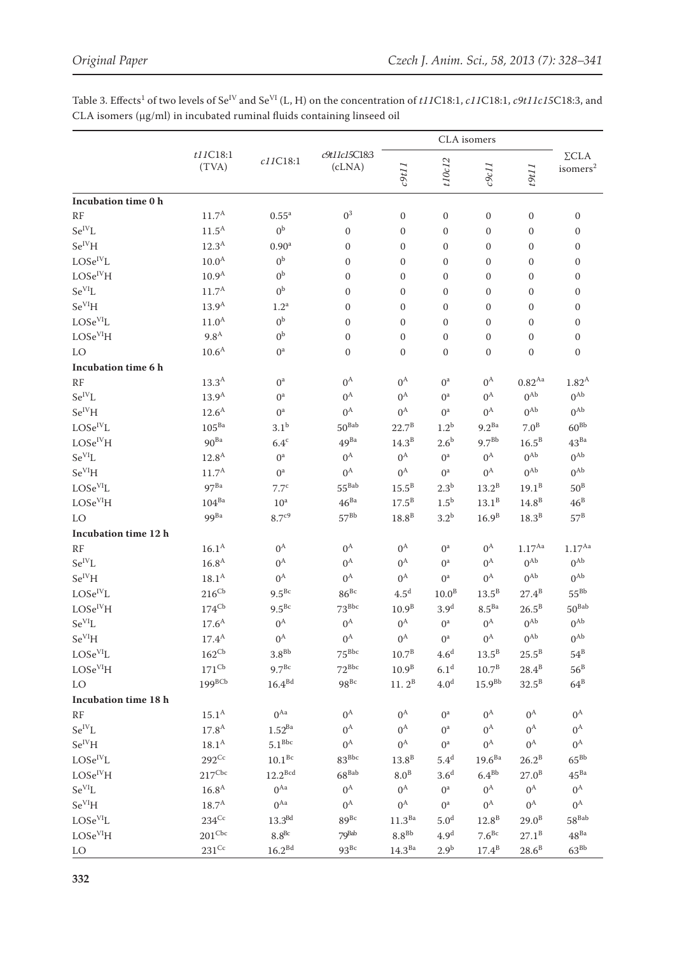CLA isomers t11C18:1 c9t11c15C18:3  $\Sigma$ CLA  $c11C18:1$ t10c12  $c9c11$  $(TVA)$  $(cLNA)$  $c$ 9t11 11161  $\,$ isomers $^2$ Incubation time 0 h  $0^3$  $\overline{0}$  $RF$  $11.7^{\rm A}$  $0.55^{\rm a}$  $\overline{0}$  $\overline{0}$  $\overline{0}$  $\overline{0}$  $Se^{IV}L$  $0<sup>b</sup>$  $11.5^{\text{A}}$  $\overline{0}$  $\mathbf{0}$  $\mathbf{0}$  $\mathbf{0}$  $\mathbf{0}$  $\mathbf{0}$  $Se^{IV}H$  $0.90<sup>a</sup>$  $12.3^{A}$  $\mathbf{0}$  $\overline{0}$  $\mathbf{0}$  $\overline{0}$  $\mathbf{0}$  $\overline{0}$  $\rm LOSe^{IV}L$  $0<sup>b</sup>$  $10.0<sup>A</sup>$  $\mathbf{0}$  $\mathbf{0}$  $\mathbf{0}$  $\overline{0}$  $\mathbf{0}$  $\mathbf{0}$  $LOSe<sup>IV</sup>H$  $0<sup>b</sup>$  $10.9<sup>A</sup>$  $\overline{0}$  $\overline{0}$  $\overline{0}$  $\overline{0}$  $\overline{0}$  $\overline{0}$  $\rm Se^{VI}L$  $0<sup>b</sup>$  $11.7^{\rm A}$  $\mathbf{0}$  $\mathbf 0$  $\boldsymbol{0}$  $\mathbf 0$  $\boldsymbol{0}$  $\boldsymbol{0}$  $Se^{VI}H$  $13.9^{A}$  $1.2^{\rm a}$  $\overline{0}$  $\overline{0}$  $\overline{0}$  $\overline{0}$  $\overline{0}$  $\overline{0}$  $LOSe<sup>VI</sup>L$  $11.0^{A}$  $0<sup>b</sup>$  $\overline{0}$  $\overline{0}$  $\overline{0}$  $\overline{0}$  $\overline{0}$  $\overline{0}$  $LOSe<sup>VI</sup>H$  $0<sup>b</sup>$  $9.8<sup>A</sup>$  $\overline{0}$  $\mathbf{0}$  $\mathbf{0}$  $\overline{0}$  $\mathbf{0}$  $\overline{0}$ LO  $10.6<sup>A</sup>$  $0^a$  $\mathbf{0}$  $\mathbf{0}$  $\mathbf{0}$  $\mathbf{0}$  $\mathbf{0}$  $\overline{0}$ Incubation time 6 h  $0^{\rm A}$  $0^{\rm A}$  $RF$  $13.3^{\rm A}$  $0^a$  $0^{\rm A}$  $0^a$  $0.82^{Aa}$  $1.82^{A}$  $0^{\text{Ab}}$  $\rm Se^{IV}L$  $0^{Ab}$  $0^{\rm A}$  $0^{\rm A}$  $0^{\rm A}$  $13.9^{A}$  $0^{\rm a}$  $0^a$  $0^{\rm A}$  $0^{Ab}$  $Se^{IV}H$  $12.6^{\text{A}}$  $0^a$  $0^{\rm A}$  $0^a$  $0^{\rm A}$  $0^{Ab}$  $LOSe^{IV}L$  $50^{Bab}$  $22.7^{\rm B}$  $9.2^{Ba}$  $7.0<sup>B</sup>$  $60^{Bb}$  $105^{Ba}$  $3.1<sup>b</sup>$  $1.2<sup>b</sup>$  $9.7<sup>Bb</sup>$  $43<sup>Ba</sup>$  $LOSe^{IV}H$  $90<sup>Ba</sup>$  $6.4<sup>c</sup>$  $49<sup>Ba</sup>$  $14.3^{B}$  $2.6<sup>b</sup>$  $16.5^{B}$  $0^{\text{Ab}}$  $0^{\text{Ab}}$  $Se^{VI}L$  $0^{\rm A}$  $0^{\rm A}$  $0^{\rm A}$  $12.8<sup>A</sup>$  $0^{\rm a}$  $0^a$  $Se<sup>VI</sup>H$  $11.7^{\rm A}$  $0^{\rm A}$  $0^{\rm A}$  $0^{\rm A}$  $0^{Ab}$  $\Omega$ <sup>Ab</sup>  $0^a$  $O<sup>a</sup>$  $15.5^{\rm B}$  $LOSe<sup>VI</sup>L$  $97<sup>Ba</sup>$  $55^{Bab}$  $13.2^B$  $50^{\rm B}$  $7.7<sup>c</sup>$  $2.3^{\rm b}$  $19.1^B$  $LOSe<sup>VI</sup>H$  $104^{Ba}$  $46^{Ba}$  $13.1^B$  $14.8<sup>B</sup>$  $46^{\rm B}$  $10<sup>a</sup>$  $17.5^{\rm B}$  $1.5^{\rm b}$  $8.7^{c9}$  $99<sup>Ba</sup>$  $57^{Bb}$  $57^{\rm B}$ LO  $18.8^B$  $3.2^{\rm b}$  $16.9<sup>B</sup>$  $18.3^B$ Incubation time 12 h  $RF$  $16.1^{\rm A}$  $0^{\rm A}$  $0^{\rm A}$  $0^{\rm A}$  $0^a$  $0^{\rm A}$  $1.17^{Aa}$  $1.17^{Aa}$  $0^{\rm A}$  $0^{\rm A}$  $0^{Ab}$  $0^{Ab}$  $\rm Se^{IV}L$  $16.8^{A}$  $0^{\rm A}$  $0^{\rm A}$  $0^{\rm a}$  $Se^{IV}H$  $0^{\rm A}$  $0^{Ab}$  $0^{Ab}$  $18.1^{\rm A}$  $0^{\rm A}$  $0^{\rm A}$  $0^{\rm A}$  $0^a$  $55^{\rm Bb}$  $4.5^{\rm d}$  $13.5^{\rm B}$  $LOSe^{IV}L$  $216^{\text{Cb}}$  $9.5^{Bc}$  $86^{Bc}$  $10.0<sup>B</sup>$  $27.4^{B}$  $LOSe<sup>IV</sup>H$  $174$ <sup>Cb</sup>  $9.5^{Bc}$  $73^{Bbc}$  $8.5<sup>Ba</sup>$  $50^{Bab}$  $10.9<sup>B</sup>$  $3.9<sup>d</sup>$  $26.5^{B}$  $Se^{VI}L$  $0^{Ab}$  $17.6^{\rm A}$  $0^{\rm A}$  $0^{\rm A}$  $0^{\rm A}$  $0^a$  $0^{\rm A}$  $0^{Ab}$  $0^{\text{Ab}}$  $Se<sup>VI</sup>H$  $0^{\rm A}$  $0^{\rm A}$  $0^{\rm A}$  $0^{\rm A}$  $0^{Ab}$  $17.4^{\rm A}$  $0^a$  $3.8^{\rm Bb}$  $75^{Bbc}$  $13.5^{\rm B}$  $LOSe<sup>VI</sup>L$  $162^{\text{Cb}}$  $10.7^{\rm B}$  $4.6<sup>d</sup>$  $25.5^{\rm B}$  $54^{\rm B}$  $LOSe<sup>VI</sup>H$  $6.1<sup>d</sup>$  $171$ <sup>Cb</sup>  $9.7^{Bc}$  $72^{Bbc}$  $10.9^{B}$  $10.7^{B}$  $56^B$  $28.4^{B}$  $199^{BCb}$ LO  $16.4<sup>Bd</sup>$  $98^{Bc}$  $11.2^B$  $4.0<sup>d</sup>$  $15.9<sup>Bb</sup>$  $32.5^B$  $64^B$ Incubation time 18 h  $0^{Aa}$  $0^{\rm A}$  $15.1^{\rm A}$  $0^{\rm A}$  $0^a$  $0^{\rm A}$  $0^{\rm A}$  $0^{\rm A}$  $RF$  $Se^{IV}L$  $1.52^{Ba}$  $0^{\rm A}$  $0^{\rm A}$  $O<sup>a</sup>$  $0^{\rm A}$  $0^{\rm A}$  $0^{\rm A}$  $17.8^{A}$  $Se^{IV}H$  $5.1^{\text{Bbc}}$  $0^{\rm A}$  $0^{\rm A}$  $18.1^{\rm A}$  $0^{\rm A}$  $0^{\rm A}$  $0^a$  $0^{\rm A}$  $292^{\rm Cc}$  $10.1^{Bc}$  $19.6^{Ba}$  $LOSe^{IV}L$  $83^{Bbc}$  $13.8^B$  $5.4^{\rm d}$  $65^{Bb}$  $26.2^B$  $217^{\text{Cbc}}$  $45^{Ba}$  $LOSe^{IV}H$  $12.2^{\text{Bcd}}$  $68^{Bab}$  $8.0<sup>B</sup>$  $6.4^{Bb}$  $27.0^{\rm B}$  $3.6<sup>d</sup>$  $Se^{VI}L$  $0^{Aa}$  $0^{\rm A}$  $0^{\rm A}$  $0^{\rm A}$  $0^{\rm A}$  $16.8^{A}$  $0^{\rm A}$  $0^a$  $Se^{VI}H$  $0^{Aa}$  $18.7^{\rm A}$  $0^{\rm A}$  $0^{\rm A}$  $0^a$  $0^{\rm A}$  $0^{\rm A}$  $0^{\rm A}$  $58^{Bab}$  $89^{Bc}$  $234$ <sup>Cc</sup>  $11.3<sup>Ba</sup>$  $LOSe<sup>VI</sup>L$  $13.3<sup>Bd</sup>$  $5.0<sup>d</sup>$  $12.8^B$  $29.0<sup>B</sup>$  $201^{\text{Cbc}}$  $4.9<sup>d</sup>$ 79<sup>Bab</sup>  $48<sup>Ba</sup>$  $LOSe<sup>VI</sup>H$  $8.8^{Bc}$  $8.8^{Bb}$  $7.6^{Bc}$  $27.1^{\rm B}$  $231^{\rm Cc}$  $16.2^{\mbox{\scriptsize{\rm Bd}}}$  $93^{Bc}$  $14.3<sup>Ba</sup>$  $2.9<sup>b</sup>$  $17.4^{B}$  $28.6^B$  $63^{Bb}$  ${\rm LO}$ 

Table 3. Effects<sup>1</sup> of two levels of Se<sup>IV</sup> and Se<sup>VI</sup> (L, H) on the concentration of t11C18:1, c11C18:1, c9t11c15C18:3, and CLA isomers (µg/ml) in incubated ruminal fluids containing linseed oil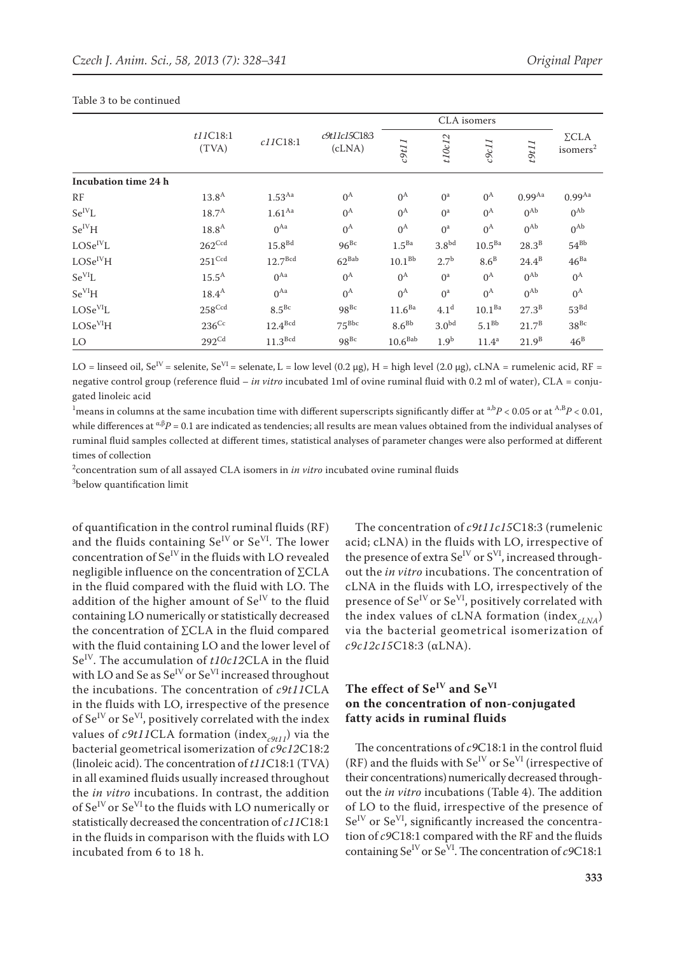|                      |                     |                      | CLA isomers             |                     |                   |                   |                |                                      |
|----------------------|---------------------|----------------------|-------------------------|---------------------|-------------------|-------------------|----------------|--------------------------------------|
|                      | t11C18:1<br>(TVA)   | c11C18:1             | c9t11c15C18:3<br>(cLNA) | $c$ 9t11            | t10c12            | c9c11             | t9t11          | $\Sigma$ CLA<br>isomers <sup>2</sup> |
| Incubation time 24 h |                     |                      |                         |                     |                   |                   |                |                                      |
| RF                   | 13.8 <sup>A</sup>   | $1.53$ <sup>Aa</sup> | $0^{\rm A}$             | $0^{\rm A}$         | $0^a$             | $0^{\rm A}$       | $0.99^{Aa}$    | 0.99 <sup>Aa</sup>                   |
| $Se^{IV}L$           | $18.7^{\rm A}$      | 1.61 <sup>Aa</sup>   | $0^{\rm A}$             | $0^{\rm A}$         | $0^a$             | $0^{\rm A}$       | $0^{Ab}$       | $0^{Ab}$                             |
| $Se^{IV}H$           | $18.8^{\rm A}$      | $0^{Aa}$             | $0^{\rm A}$             | $0^{\rm A}$         | $0^a$             | $0^{\rm A}$       | $0^{Ab}$       | $0^{Ab}$                             |
| $LOSe^{IV}L$         | $262^{\text{Ccd}}$  | 15.8 <sup>Bd</sup>   | $96^{Bc}$               | 1.5 <sup>Ba</sup>   | 3.8 <sup>bd</sup> | $10.5^{Ba}$       | $28.3^B$       | $54^{Bb}$                            |
| LOSe <sup>IV</sup> H | $251^{\rm Ccd}$     | 12.7 <sup>Bcd</sup>  | $62^{Bab}$              | 10.1 <sup>Bb</sup>  | 2.7 <sup>b</sup>  | $8.6^B$           | $24.4^{B}$     | $46^{Ba}$                            |
| $Se^{VI}L$           | $15.5^{\text{A}}$   | $0^{Aa}$             | $0^{\rm A}$             | $0^{\rm A}$         | $0^a$             | $0^{\rm A}$       | $0^{Ab}$       | $0^{\rm A}$                          |
| Se <sup>VI</sup> H   | $18.4^{A}$          | $0^{Aa}$             | $0^{\rm A}$             | $0^{\rm A}$         | $0^a$             | $0^{\rm A}$       | $0^{Ab}$       | $0^{\rm A}$                          |
| $\rm LOSe^{VI}L$     | $258^{\text{Ccd}}$  | $8.5^{Bc}$           | $98^{Bc}$               | 11.6 <sup>Ba</sup>  | 4.1 <sup>d</sup>  | $10.1^{Ba}$       | $27.3^{\rm B}$ | $53^{Bd}$                            |
| LOSe <sup>VI</sup> H | $236$ <sup>Cc</sup> | 12.4 <sup>Bcd</sup>  | $75^{\rm Bbc}$          | $8.6^{Bb}$          | 3.0 <sup>bd</sup> | 5.1 <sup>bb</sup> | $21.7^{\rm B}$ | $38^{Bc}$                            |
| LO                   | $292^{\text{Cd}}$   | 11.3 <sup>Bcd</sup>  | $98^{Bc}$               | 10.6 <sup>Bab</sup> | 1.9 <sup>b</sup>  | 11.4 <sup>a</sup> | $21.9^{B}$     | $46^{\rm B}$                         |

#### Table 3 to be continued

LO = linseed oil, Se<sup>IV</sup> = selenite, Se<sup>VI</sup> = selenate, L = low level (0.2 µg), H = high level (2.0 µg), cLNA = rumelenic acid, RF = negative control group (reference fluid – *in vitro* incubated 1ml of ovine ruminal fluid with 0.2 ml of water), CLA = conjugated linoleic acid

<sup>1</sup> means in columns at the same incubation time with different superscripts significantly differ at  $a,bP < 0.05$  or at  $A,BP < 0.01$ , while differences at  $\alpha \beta P = 0.1$  are indicated as tendencies; all results are mean values obtained from the individual analyses of ruminal fluid samples collected at different times, statistical analyses of parameter changes were also performed at different times of collection

2 concentration sum of all assayed CLA isomers in *in vitro* incubated ovine ruminal fluids 3 below quantification limit

of quantification in the control ruminal fluids (RF) and the fluids containing  $Se^{IV}$  or  $Se^{VI}$ . The lower concentration of  $Se<sup>IV</sup>$  in the fluids with LO revealed negligible influence on the concentration of ∑CLA in the fluid compared with the fluid with LO. The addition of the higher amount of  $Se^{IV}$  to the fluid containing LO numerically or statistically decreased the concentration of ∑CLA in the fluid compared with the fluid containing LO and the lower level of Se<sup>IV</sup>. The accumulation of *t10c12CLA* in the fluid with LO and Se as  $Se^{IV}$  or  $Se^{VI}$  increased throughout the incubations. The concentration of *c9t11*CLA in the fluids with LO, irrespective of the presence of Se<sup>IV</sup> or Se<sup>VI</sup>, positively correlated with the index values of  $c9t11CLA$  formation (index<sub>c9t11</sub>) via the bacterial geometrical isomerization of *c9c12*C18:2 (linoleic acid). The concentration of *t11*C18:1 (TVA) in all examined fluids usually increased throughout the *in vitro* incubations. In contrast, the addition of  $Se^{IV}$  or  $Se^{VI}$  to the fluids with LO numerically or statistically decreased the concentration of *c11*C18:1 in the fluids in comparison with the fluids with LO incubated from 6 to 18 h.

The concentration of *c9t11c15*C18:3 (rumelenic acid; cLNA) in the fluids with LO, irrespective of the presence of extra  $Se^{IV}$  or  $S^{VI}$ , increased throughout the *in vitro* incubations. The concentration of cLNA in the fluids with LO, irrespectively of the presence of Se<sup>IV</sup> or Se<sup>VI</sup>, positively correlated with the index values of cLNA formation (index<sub>*cLNA*</sub>) via the bacterial geometrical isomerization of *c9c12c15*C18:3 (αLNA).

# **The effect of SeIV and SeVI on the concentration of non-conjugated fatty acids in ruminal fluids**

The concentrations of *c9*C18:1 in the control fluid (RF) and the fluids with  $Se^{IV}$  or  $Se^{VI}$  (irrespective of their concentrations) numerically decreased throughout the *in vitro* incubations (Table 4). The addition of LO to the fluid, irrespective of the presence of Se<sup>IV</sup> or Se<sup>VI</sup>, significantly increased the concentration of *c9*C18:1 compared with the RF and the fluids containing Se<sup>IV</sup> or Se<sup>VI</sup>. The concentration of  $c$ 9C18:1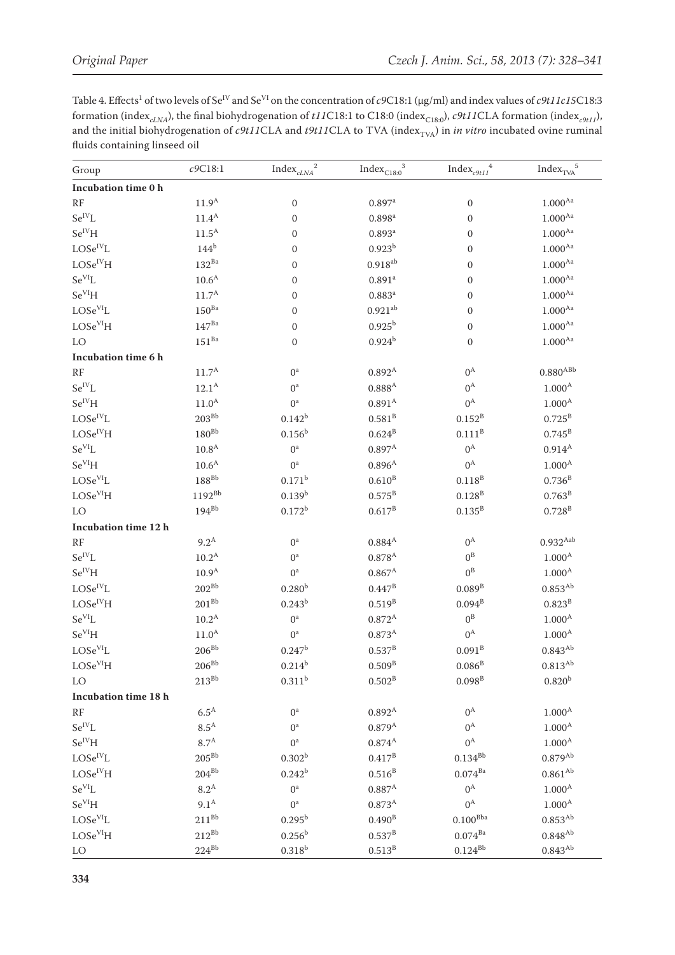Table 4. Effects<sup>1</sup> of two levels of Se<sup>IV</sup> and Se<sup>VI</sup> on the concentration of c9C18:1 (µg/ml) and index values of c9t11c15C18:3 formation (index<sub>cLNA</sub>), the final biohydrogenation of *t11*C18:1 to C18:0 (index<sub>C18:0</sub>), *c9t11CLA* formation (index<sub>c9t11</sub>), and the initial biohydrogenation of *c9t11CLA* and *t9t11CLA* to TVA (index<sub>TVA</sub>) in *in vitr* fluids containing linseed oil

| Group                                                                    | c9C18:1             | $\overline{2}$<br>${\rm Index}_{\it cLNA}$ | $\sqrt{3}$<br>$\mathrm{Index}_{\mathrm{C18:0}}$ | $\overline{4}$<br>$\mathrm{Index}_{c9t11}$ | ${\rm Index}_{{\rm TV\!A}}^{\vphantom{A^A}5}$ |
|--------------------------------------------------------------------------|---------------------|--------------------------------------------|-------------------------------------------------|--------------------------------------------|-----------------------------------------------|
| Incubation time 0 h                                                      |                     |                                            |                                                 |                                            |                                               |
| RF                                                                       | $11.9^{\rm A}$      | $\boldsymbol{0}$                           | $0.897$ <sup>a</sup>                            | $\boldsymbol{0}$                           | $1.000^{\mathrm{Aa}}$                         |
| $Se^{IV}L$                                                               | $11.4^A$            | $\mathbf{0}$                               | $0.898^{a}$                                     | $\boldsymbol{0}$                           | $1.000^{Aa}$                                  |
| $Se^{IV}H$                                                               | $11.5^{\rm A}$      | $\boldsymbol{0}$                           | $0.893$ <sup>a</sup>                            | $\boldsymbol{0}$                           | $1.000^{\mathrm{Aa}}$                         |
| $\text{LOSe}^{\text{IV}}\text{L}$                                        | 144 <sup>b</sup>    | $\mathbf{0}$                               | $0.923^{b}$                                     | $\boldsymbol{0}$                           | 1.000 <sup>Aa</sup>                           |
| $\ensuremath{\mathrm{LOSe}^{\mathrm{IV}}}\xspace\ensuremath{\mathrm{H}}$ | $132^{Ba}$          | $\mathbf{0}$                               | $0.918^{ab}$                                    | $\boldsymbol{0}$                           | $1.000^{\mathrm{Aa}}$                         |
| $Se^{VI}L$                                                               | $10.6^{\rm A}$      | $\boldsymbol{0}$                           | $0.891$ <sup>a</sup>                            | $\boldsymbol{0}$                           | $1.000^{Aa}$                                  |
| $Se^{VI}H$                                                               | $11.7^{\rm A}$      | $\boldsymbol{0}$                           | $0.883^{a}$                                     | $\boldsymbol{0}$                           | $1.000^{Aa}$                                  |
| LOSe <sup>VI</sup> L                                                     | $150^{Ba}$          | $\mathbf{0}$                               | $0.921^{ab}$                                    | $\boldsymbol{0}$                           | $1.000^{\mathrm{Aa}}$                         |
| $\rm LOSe^{VI}H$                                                         | $147^{Ba}$          | $\mathbf{0}$                               | $0.925^{b}$                                     | $\boldsymbol{0}$                           | $1.000^{Aa}$                                  |
| LO                                                                       | $151^{Ba}$          | $\boldsymbol{0}$                           | $0.924^{b}$                                     | $\boldsymbol{0}$                           | $1.000^{Aa}$                                  |
| Incubation time 6 h                                                      |                     |                                            |                                                 |                                            |                                               |
| RF                                                                       | $11.7^{\rm A}$      | $0^a$                                      | $0.892^{A}$                                     | $0^{\rm A}$                                | $0.880^{\rm A\small Bb}$                      |
| $Se^{IV}L$                                                               | $12.1^{\mathrm{A}}$ | $0^a$                                      | $0.888^{A}$                                     | $0^{\rm A}$                                | 1.000 <sup>A</sup>                            |
| $Se^{IV}H$                                                               | 11.0 <sup>A</sup>   | $0^a$                                      | 0.891 <sup>A</sup>                              | $0^{\rm A}$                                | $1.000^{\mathrm{A}}$                          |
| $LOSe^{IV}L$                                                             | $203^{\rm Bb}$      | $0.142^{b}$                                | 0.581 <sup>B</sup>                              | $0.152^{\rm B}$                            | $0.725^{\rm B}$                               |
| LOSe <sup>IV</sup> H                                                     | $180^{Bb}$          | $0.156^{b}$                                | $0.624^{B}$                                     | $0.111^{B}$                                | $0.745^{\rm B}$                               |
| $Se^{VI}L$                                                               | 10.8 <sup>A</sup>   | $0^a$                                      | $0.897^{\rm A}$                                 | $0^{\rm A}$                                | $0.914^{A}$                                   |
| $Se^{VI}H$                                                               | $10.6^{\rm A}$      | $0^a$                                      | $0.896^{A}$                                     | $0^{\rm A}$                                | 1.000 <sup>A</sup>                            |
| LOSe <sup>VI</sup> L                                                     | $188^{\rm Bb}$      | $0.171^{b}$                                | $0.610^{B}$                                     | $0.118^{\rm B}$                            | $0.736^{\rm B}$                               |
| LOSe <sup>VI</sup> H                                                     | $1192^{Bb}$         | $0.139^{b}$                                | $0.575^{\rm B}$                                 | $0.128^{B}$                                | $0.763^{\rm B}$                               |
| LO                                                                       | $194^{Bb}$          | $0.172^{b}$                                | $0.617^{\rm B}$                                 | $0.135^{B}$                                | $0.728^{B}$                                   |
| Incubation time 12 h                                                     |                     |                                            |                                                 |                                            |                                               |
| RF                                                                       | $9.2^{\text{A}}$    | $0^a$                                      | $0.884^{A}$                                     | $0^{\rm A}$                                | $0.932$ <sup>Aab</sup>                        |
| $\rm Se^{IV}L$                                                           | $10.2^{\text{A}}$   | $0^a$                                      | $0.878^{A}$                                     | $0^{\rm B}$                                | $1.000^{A}$                                   |
| $Se^{IV}H$                                                               | 10.9 <sup>A</sup>   | $0^a$                                      | $0.867^{\rm A}$                                 | $0^{\text{B}}$                             | $1.000^{A}$                                   |
| $\rm LOSe^{IV}L$                                                         | $202^{Bb}$          | 0.280 <sup>b</sup>                         | $0.447^{\rm B}$                                 | 0.089 <sup>B</sup>                         | $0.853^{\mathrm{Ab}}$                         |
| LOSe <sup>IV</sup> H                                                     | $201^{Bb}$          | $0.243^{b}$                                | $0.519^{B}$                                     | $0.094^{\rm B}$                            | $0.823^{B}$                                   |
| $Se^{VI}L$                                                               | $10.2^{\text{A}}$   | $0^a$                                      | $0.872^{A}$                                     | $0^{\text{B}}$                             | 1.000 <sup>A</sup>                            |
| $Se^{VI}H$                                                               | $11.0^{\rm A}$      | $0^a$                                      | $0.873^{A}$                                     | $0^{\rm A}$                                | $1.000^{\mathrm{A}}$                          |
| LOSe <sup>VI</sup> L                                                     | $206^{\rm Bb}$      | $0.247^{b}$                                | $0.537^{B}$                                     | $0.091^{B}$                                | $0.843^{Ab}$                                  |
| LOSe <sup>VI</sup> H                                                     | $206^{Bb}$          | $0.214^{b}$                                | $0.509^{B}$                                     | $0.086^{\rm B}$                            | $0.813^{Ab}$                                  |
| LO                                                                       | $213^{Bb}$          | $0.311^{b}$                                | $0.502^{\rm B}$                                 | $0.098\textsuperscript{B}$                 | $0.820^{b}$                                   |
| Incubation time 18 h                                                     |                     |                                            |                                                 |                                            |                                               |
| RF                                                                       | $6.5^{\text{A}}$    | $0^a$                                      | $0.892^{A}$                                     | $0^{\rm A}$                                | 1.000 <sup>A</sup>                            |
| $Se^{IV}L$                                                               | $8.5^{\rm A}$       | 0 <sup>a</sup>                             | $0.879^{A}$                                     | $0^{\rm A}$                                | 1.000 <sup>A</sup>                            |
| $\rm Se^{IV}H$                                                           | $8.7^{\rm A}$       | $0^a$                                      | $0.874^{A}$                                     | $0^{\rm A}$                                | 1.000 <sup>A</sup>                            |
| $\rm LOSe^{IV}L$                                                         | $205^{Bb}$          | 0.302 <sup>b</sup>                         | $0.417^{B}$                                     | $0.134^{\rm Bb}$                           | $0.879^{Ab}$                                  |
| LOSe <sup>IV</sup> H                                                     | $204^{Bb}$          | $0.242^{b}$                                | $0.516^{\rm B}$                                 | $0.074^{Ba}$                               | $0.861^{Ab}$                                  |
| $Se^{VI}L$                                                               | $8.2^{\rm A}$       | $0^a$                                      | $0.887^{\rm A}$                                 | $0^{\rm A}$                                | 1.000 <sup>A</sup>                            |
| $Se^{VI}H$                                                               | 9.1 <sup>A</sup>    | $0^a$                                      | $0.873^{A}$                                     | $0^{\rm A}$                                | 1.000 <sup>A</sup>                            |
| LOSe <sup>VI</sup> L                                                     | $211^{Bb}$          | $0.295^{b}$                                | $0.490^{B}$                                     | $0.100^{\rm Bba}$                          | $0.853^{Ab}$                                  |
| LOSe <sup>VI</sup> H                                                     | $212^{\rm Bb}$      | $0.256^{\rm b}$                            | $0.537^{B}$                                     | $0.074^{\mbox{\scriptsize \sc{Ba}}}$       | $0.848^{\mathrm{Ab}}$                         |
| LO                                                                       | $224^{Bb}$          | $0.318^{b}$                                | $0.513^B$                                       | $0.124^{Bb}$                               | $0.843^{Ab}$                                  |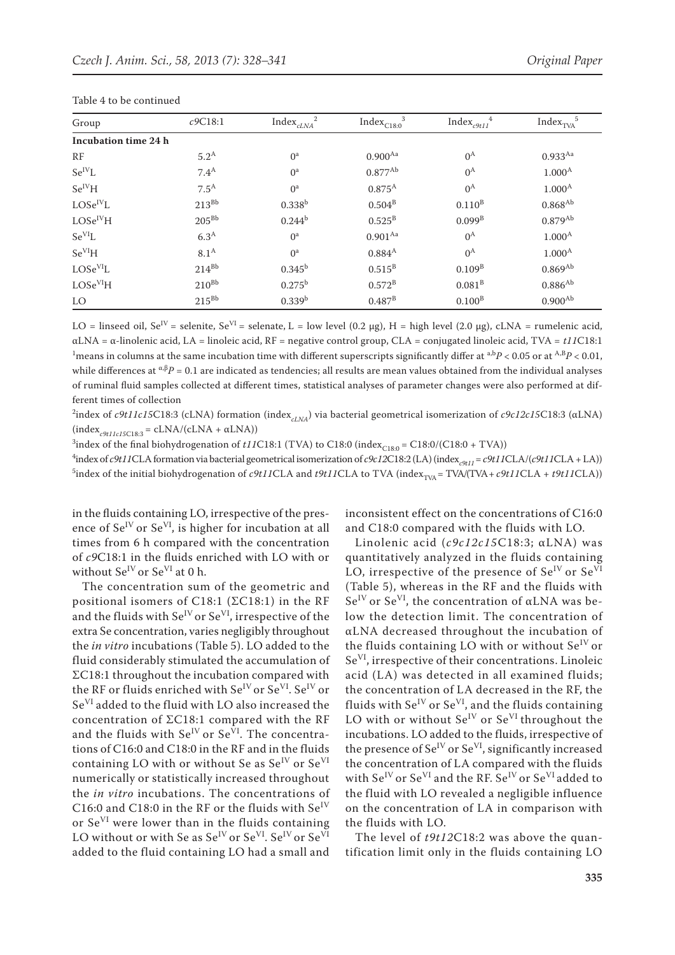| Group                | c9C18:1          | ${\rm Index}_{\it cLNA}^{\vphantom{A^A}^2}$ | $Index_{C18:0}^3$ | ${\rm Index}_{c9t11}^{\quad 4}$ | ${\rm Index}_{\rm TVA}{}^5$ |
|----------------------|------------------|---------------------------------------------|-------------------|---------------------------------|-----------------------------|
| Incubation time 24 h |                  |                                             |                   |                                 |                             |
| RF                   | 5.2 <sup>A</sup> | O <sup>a</sup>                              | $0.900^{Aa}$      | $0^{\rm A}$                     | $0.933^{Aa}$                |
| $\rm Se^{IV}L$       | 7.4 <sup>A</sup> | O <sup>a</sup>                              | $0.877^{Ab}$      | $0^{\rm A}$                     | $1.000^{A}$                 |
| $Se^{IV}H$           | $7.5^{\text{A}}$ | $0^a$                                       | $0.875^{A}$       | $0^{\rm A}$                     | $1.000^{A}$                 |
| $LOSe^{IV}L$         | $213^{Bb}$       | $0.338^{b}$                                 | $0.504^{\rm B}$   | $0.110^{B}$                     | $0.868^{Ab}$                |
| LOSe <sup>IV</sup> H | $205^{Bb}$       | $0.244^{b}$                                 | $0.525^{\rm B}$   | $0.099^{B}$                     | $0.879^{Ab}$                |
| $Se^{VI}L$           | 6.3 <sup>A</sup> | $0^a$                                       | $0.901^{Aa}$      | $0^{\rm A}$                     | $1.000^{A}$                 |
| Se <sup>VI</sup> H   | $8.1^{\rm A}$    | $0^a$                                       | $0.884^{A}$       | $0^{\rm A}$                     | $1.000^{A}$                 |
| LOSe <sup>VI</sup> L | $214^{Bb}$       | $0.345^{\rm b}$                             | $0.515^{\rm B}$   | $0.109^{B}$                     | $0.869^{Ab}$                |
| LOSe <sup>VI</sup> H | $210^{Bb}$       | $0.275^{\rm b}$                             | $0.572^{\rm B}$   | $0.081^{B}$                     | $0.886^{Ab}$                |
| LO                   | $215^{Bb}$       | $0.339^{b}$                                 | $0.487^{B}$       | $0.100^{B}$                     | $0.900^{Ab}$                |

LO = linseed oil,  $Se^{IV}$  = selenite,  $Se^{VI}$  = selenate, L = low level (0.2 µg), H = high level (2.0 µg), cLNA = rumelenic acid, αLNA = α-linolenic acid, LA = linoleic acid, RF = negative control group, CLA = conjugated linoleic acid, TVA = *t11*C18:1 <sup>1</sup> means in columns at the same incubation time with different superscripts significantly differ at  $a,bP < 0.05$  or at  $A,BP < 0.01$ , while differences at <sup>α,β</sup>P = 0.1 are indicated as tendencies; all results are mean values obtained from the individual analyses of ruminal fluid samples collected at different times, statistical analyses of parameter changes were also performed at different times of collection

<sup>2</sup>index of *c9t11c15C*18:3 (cLNA) formation (index<sub>*cLNA*</sub>) via bacterial geometrical isomerization of *c9c12c15C*18:3 (αLNA)  $(index_{c9t11c15C18:3} = cLNA/(cLNA + \alpha LNA))$ 

<sup>3</sup>index of the final biohydrogenation of *t11*C18:1 (TVA) to C18:0 (index<sub>C18:0</sub> = C18:0/(C18:0 + TVA))

<sup>4</sup>index of *c9t11*CLA formation via bacterial geometrical isomerization of *c9c12*C18:2 (LA) (index<sub>*c9t11*</sub> = *c9t11*CLA/(*c9t11*CLA + LA)) <sup>5</sup>index of the initial biohydrogenation of *c9t11*CLA and *t9t11*CLA to TVA (index<sub>TVA</sub> = TVA/(TVA + *c9t11*CLA + *t9t11*CLA))

in the fluids containing LO, irrespective of the presence of  $Se^{IV}$  or  $Se^{VI}$ , is higher for incubation at all times from 6 h compared with the concentration of *c9*C18:1 in the fluids enriched with LO with or without  $Se^{IV}$  or  $Se^{VI}$  at 0 h.

The concentration sum of the geometric and positional isomers of C18:1 (ΣC18:1) in the RF and the fluids with  $Se^{IV}$  or  $Se^{VI}$ , irrespective of the extra Se concentration, varies negligibly throughout the *in vitro* incubations (Table 5). LO added to the fluid considerably stimulated the accumulation of ΣC18:1 throughout the incubation compared with the RF or fluids enriched with  $Se^{IV}$  or  $Se^{VI}$ .  $Se^{IV}$  or SeVI added to the fluid with LO also increased the concentration of ΣC18:1 compared with the RF and the fluids with  $Se^{IV}$  or  $Se^{VI}$ . The concentrations of C16:0 and C18:0 in the RF and in the fluids containing LO with or without Se as  $Se^{IV}$  or  $Se^{VI}$ numerically or statistically increased throughout the *in vitro* incubations. The concentrations of C16:0 and C18:0 in the RF or the fluids with  $Se^{IV}$ or SeVI were lower than in the fluids containing LO without or with Se as  $Se^{IV}$  or  $Se^{VI}$ .  $Se^{IV}$  or  $Se^{VI}$ added to the fluid containing LO had a small and

inconsistent effect on the concentrations of C16:0 and C18:0 compared with the fluids with LO.

Linolenic acid (*c9c12c15*C18:3; αLNA) was quantitatively analyzed in the fluids containing LO, irrespective of the presence of  $Se^{IV}$  or  $Se^{VI}$ (Table 5), whereas in the RF and the fluids with  $Se^{IV}$  or  $Se^{VI}$ , the concentration of  $\alpha$ LNA was below the detection limit. The concentration of αLNA decreased throughout the incubation of the fluids containing LO with or without  $Se^{IV}$  or SeVI, irrespective of their concentrations. Linoleic acid (LA) was detected in all examined fluids; the concentration of LA decreased in the RF, the fluids with  $Se^{IV}$  or  $Se^{VI}$ , and the fluids containing LO with or without  $Se^{IV}$  or  $Se^{VI}$  throughout the incubations. LO added to the fluids, irrespective of the presence of  $Se^{IV}$  or  $Se^{VI}$ , significantly increased the concentration of LA compared with the fluids with  $\text{Se}^{\text{IV}}$  or  $\text{Se}^{\text{VI}}$  and the RF.  $\text{Se}^{\text{IV}}$  or  $\text{Se}^{\text{VI}}$  added to the fluid with LO revealed a negligible influence on the concentration of LA in comparison with the fluids with LO.

The level of *t9t12*C18:2 was above the quantification limit only in the fluids containing LO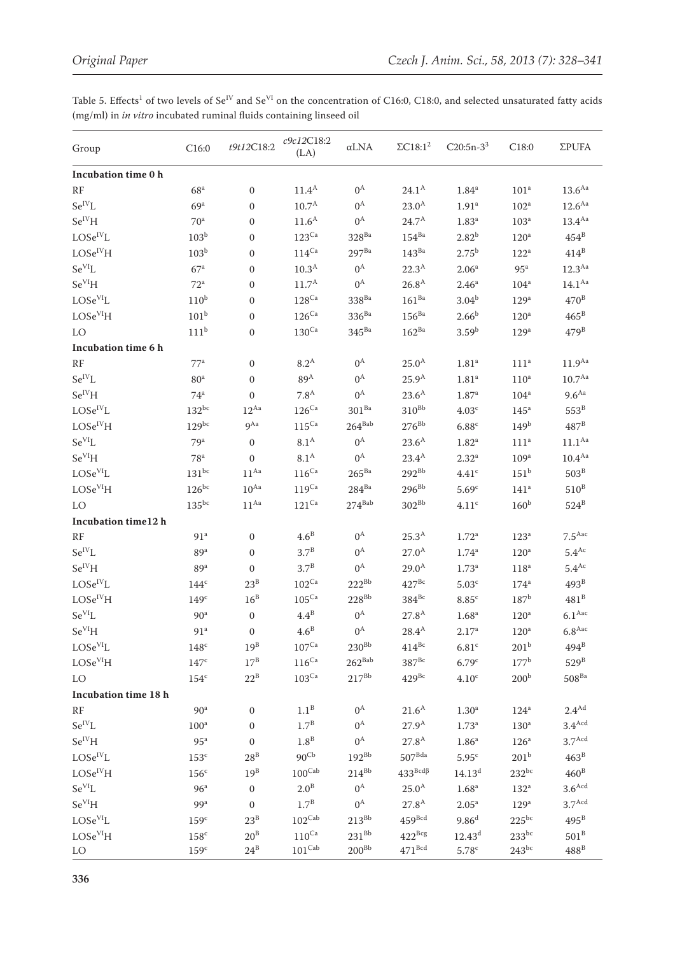Table 5. Effects<sup>1</sup> of two levels of Se<sup>IV</sup> and Se<sup>VI</sup> on the concentration of C16:0, C18:0, and selected unsaturated fatty acids  $\rm (mg/ml)$  in  $\it in$   $\it vitro$  incubated ruminal fluids containing linseed oil

| Incubation time 0 h<br>13.6 <sup>Aa</sup><br>$0^{\rm A}$<br>$24.1^{\rm A}$<br>RF<br>11.4 <sup>A</sup><br>1.84 <sup>a</sup><br>68 <sup>a</sup><br>$\Omega$<br>101 <sup>a</sup><br>$Se^{IV}I.$<br>12.6 <sup>Aa</sup><br>10.7 <sup>A</sup><br>$0^{\rm A}$<br>23.0 <sup>A</sup><br>1.91 <sup>a</sup><br>69 <sup>a</sup><br>$\mathbf{0}$<br>102 <sup>a</sup><br>$Se^{IV}H$<br>11.6 <sup>A</sup><br>$0^{\rm A}$<br>$24.7^{A}$<br>1.83 <sup>a</sup><br>13.4 <sup>Aa</sup><br>103 <sup>a</sup><br>70 <sup>a</sup><br>$\mathbf{0}$<br>$LOSe^{IV}L$<br>$123$ <sup>Ca</sup><br>$154^{Ba}$<br>$2.82^{b}$<br>$454^B$<br>103 <sup>b</sup><br>$328^{Ba}$<br>120 <sup>a</sup><br>$\Omega$<br>$414^B$<br>LOSe <sup>IV</sup> H<br>$114^{\rm Ca}$<br>$143^{\mbox{\scriptsize \sc Ba}}$<br>103 <sup>b</sup><br>$297^{Ba}$<br>$2.75^{b}$<br>122 <sup>a</sup><br>$\Omega$<br>$Se^{VI}L$<br>22.3 <sup>A</sup><br>12.3 <sup>Aa</sup><br>10.3 <sup>A</sup><br>$0^{\rm A}$<br>67 <sup>a</sup><br>2.06 <sup>a</sup><br>95 <sup>a</sup><br>$\mathbf{0}$<br>Se <sup>VI</sup> H<br>26.8 <sup>A</sup><br>11.7 <sup>A</sup><br>$0^{\rm A}$<br>2.46 <sup>a</sup><br>$14.1^{Aa}$<br>72 <sup>a</sup><br>104 <sup>a</sup><br>$\mathbf{0}$<br>LOSe <sup>VI</sup> L<br>$161^{Ba}$<br>$470^{\text{B}}$<br>$110^{\rm b}$<br>$128^{\rm Ca}$<br>$338^{\mbox{\scriptsize \sc Ba}}$<br>$3.04^{b}$<br>129 <sup>a</sup><br>$\mathbf{0}$<br>LOSe <sup>VI</sup> H<br>101 <sup>b</sup><br>$126$ <sup>Ca</sup><br>$156^{Ba}$<br>$2.66^{b}$<br>$465^{\rm B}$<br>$336^{Ba}$<br>120 <sup>a</sup><br>$\Omega$<br>111 <sup>b</sup><br>$162^{Ba}$<br>$479^B$<br>$130$ <sup>Ca</sup><br>$345^{Ba}$<br>3.59 <sup>b</sup><br>LO<br>129 <sup>a</sup><br>$\mathbf{0}$<br>Incubation time 6 h<br>$8.2^{\text{A}}$<br>$0^{\rm A}$<br>11.9 <sup>Aa</sup><br>RF<br>77 <sup>a</sup><br>$25.0^{A}$<br>1.81 <sup>a</sup><br>$\mathbf{0}$<br>111 <sup>a</sup><br>$Se^{IV}L$<br>$10.7^{Aa}$<br>89 <sup>A</sup><br>$0^{\rm A}$<br>$25.9^{A}$<br>1.81 <sup>a</sup><br>80 <sup>a</sup><br>110 <sup>a</sup><br>$\mathbf{0}$<br>$Se^{IV}H$<br>$0^{\rm A}$<br>$23.6^{A}$<br>9.6 <sup>Aa</sup><br>7.8 <sup>A</sup><br>74 <sup>a</sup><br>$\mathbf{0}$<br>1.87 <sup>a</sup><br>104 <sup>a</sup><br>$LOSe^{IV}L$<br>$310^{Bb}$<br>$553^B$<br>$132^{bc}$<br>$12^{Aa}$<br>$126$ <sup>Ca</sup><br>$301^{Ba}$<br>4.03 <sup>c</sup><br>145 <sup>a</sup><br>LOSe <sup>IV</sup> H<br>$115^{\rm Ca}$<br>$264^{\text{Bab}}$<br>$276^{Bb}$<br>$487^{\text{B}}$<br>$129^{bc}$<br>9 <sup>Aa</sup><br>6.88c<br>149 <sup>b</sup><br>$Se^{VI}I.$<br>$0^{\rm A}$<br>11.1 <sup>Aa</sup><br>8.1 <sup>A</sup><br>$23.6^{A}$<br>79 <sup>a</sup><br>$\mathbf{0}$<br>1.82 <sup>a</sup><br>111 <sup>a</sup><br>Se <sup>VI</sup> H<br>$8.1^{\text{A}}$<br>10.4 <sup>Aa</sup><br>$0^{\rm A}$<br>23.4 <sup>A</sup><br>78 <sup>a</sup><br>$2.32^{a}$<br>109 <sup>a</sup><br>$\mathbf{0}$<br>LOSe <sup>VI</sup> L<br>$131^{bc}$<br>$116$ <sup>Ca</sup><br>$292^{Bb}$<br>151 <sup>b</sup><br>503 <sup>B</sup><br>$11^{\text{Aa}}$<br>$265^{Ba}$<br>4.41 <sup>c</sup><br>LOSe <sup>VI</sup> H<br>$126^{bc}$<br>$119$ Ca<br>$284^{\mbox{\scriptsize \sc{Ba}}}$<br>$296^{Bb}$<br>$510^{\rm B}$<br>$10^{Aa}$<br>5.69 <sup>c</sup><br>141 <sup>a</sup><br>$121^{\rm Ca}$<br>$274^{\text{Bab}}$<br>$302^{\rm Bb}$<br>$524^B$<br>$135^{bc}$<br>$11^{Aa}$<br>160 <sup>b</sup><br>4.11 <sup>c</sup><br>LO<br>Incubation time12 h<br>4.6 <sup>B</sup><br>$0^{\rm A}$<br>25.3 <sup>A</sup><br>$7.5$ <sup>Aac</sup><br>RF<br>1.72 <sup>a</sup><br>123 <sup>a</sup><br>91 <sup>a</sup><br>$\mathbf{0}$<br>$Se^{IV}L$<br>$5.4^{Ac}$<br>$3.7^B$<br>$0^{\rm A}$<br>$27.0^{A}$<br>1.74 <sup>a</sup><br>120 <sup>a</sup><br>89 <sup>a</sup><br>$\Omega$<br>$Se^{IV}H$<br>$3.7^B$<br>$0^{\rm A}$<br>$29.0^{A}$<br>$5.4^{Ac}$<br>1.73 <sup>a</sup><br>118 <sup>a</sup><br>89 <sup>a</sup><br>$\mathbf{0}$<br>$LOSe^{IV}L$<br>$23^{\rm B}$<br>$102$ <sup>Ca</sup><br>$222^{Bb}$<br>$427^{Bc}$<br>5.03 <sup>c</sup><br>493 <sup>B</sup><br>$174^a$<br>144 <sup>c</sup><br>LOSe <sup>IV</sup> H<br>$16^B$<br>$228^{\rm Bb}$<br>$384^{\rm Bc}$<br>$481^B$<br>$105^{\rm Ca}$<br>$187^{\rm b}$<br>8.85 <sup>c</sup><br>149 <sup>c</sup><br>$Se^{VI}L$<br>$4.4^B$<br>$0^{\rm A}$<br>$6.1$ <sup>Aac</sup><br>$27.8^{A}$<br>1.68 <sup>a</sup><br>120 <sup>a</sup><br>90 <sup>a</sup><br>$\Omega$<br>$Se^{VI}H$<br>4.6 <sup>B</sup><br>$6.8$ <sup>Aac</sup><br>$0^{\rm A}$<br>$28.4^{A}$<br>2.17 <sup>a</sup><br>120 <sup>a</sup><br>91 <sup>a</sup><br>$\mathbf{0}$<br>$230^{\rm Bb}$<br>$414^{\rm Bc}$<br>LOSe <sup>VI</sup> L<br>$19^B$<br>$107^{\rm Ca}$<br>201 <sup>b</sup><br>$494^B$<br>$148^{\circ}$<br>6.81 <sup>c</sup><br>$\ensuremath{\text{LOSe}^{\text{VI}}}\xspace\ensuremath{\text{H}}$<br>$17^{\rm B}$<br>$116$ <sup>Ca</sup><br>$262^{Bab}$<br>$387^{Bc}$<br>$177^{\rm b}$<br>$529^B$<br>$147^{\circ}$<br>6.79 <sup>c</sup><br>$22^B$<br>$103^{\rm Ca}$<br>$217^{\rm Bb}$<br>$508^{\mbox{\scriptsize \sc Ba}}$<br>$429^{\rm Bc}$<br>200 <sup>b</sup><br>LO<br>$154^c$<br>4.10 <sup>c</sup><br>Incubation time 18 h<br>$2.4^{\mathrm{Ad}}$<br>$1.1^B$<br>$0^{\rm A}$<br>$21.6^{\rm A}$<br>90 <sup>a</sup><br>1.30 <sup>a</sup><br>RF<br>$\mathbf{0}$<br>124 <sup>a</sup><br>$\rm Se^{IV}L$<br>$1.7^{\rm B}$<br>$0^{\rm A}$<br>$27.9^{A}$<br>$3.4$ <sup>Acd</sup><br>1.73 <sup>a</sup><br>130 <sup>a</sup><br>100 <sup>a</sup><br>$\mathbf{0}$<br>$\rm Se^{IV}H$<br>$1.8^B$<br>$0^{\rm A}$<br>27.8 <sup>A</sup><br>3.7 <sup>Acd</sup><br>1.86 <sup>a</sup><br>126 <sup>a</sup><br>95 <sup>a</sup><br>$\mathbf{0}$<br>$LOSe^{IV}L$<br>$28^B$<br>90 <sup>Cb</sup><br>$192^{\rm Bb}$<br>$507^{\text{Bda}}$<br>$463^{\rm B}$<br>201 <sup>b</sup><br>$153^{\circ}$<br>5.95 <sup>c</sup><br>LOSe <sup>IV</sup> H<br>$100^{\rm Cab}$<br>$433^{Bcd\beta}$<br>$232^{bc}$<br>$460^{\text{B}}$<br>$19^B$<br>$214^{Bb}$<br>$156^{\circ}$<br>$14.13^{d}$<br>$Se^{VI}L$<br>$0^{\rm A}$<br>$3.6^{\text{Acd}}$<br>96 <sup>a</sup><br>2.0 <sup>B</sup><br>$25.0^{A}$<br>1.68 <sup>a</sup><br>$132^a$<br>$\mathbf{0}$<br>$Se^{VI}H$<br>$1.7^{\rm B}$<br>3.7 <sup>Acd</sup><br>$0^{\rm A}$<br>$27.8^{A}$<br>99 <sup>a</sup><br>$2.05^{\rm a}$<br>129 <sup>a</sup><br>$\boldsymbol{0}$<br>$459$ <sup>Bcd</sup><br>LOSe <sup>VI</sup> L<br>$23^B$<br>$102^{\mathrm{Cab}}$<br>$213^{\rm Bb}$<br>9.86 <sup>d</sup><br>$225^{bc}$<br>$495^{\text{B}}$<br>159c<br>LOSe <sup>VI</sup> H<br>$110$ <sup>Ca</sup><br>$231^{Bb}$<br>$422^{Bcg}$<br>$233^{bc}$<br>158 <sup>c</sup><br>$20^{\rm B}$<br>$12.43^{d}$<br>$501^{\text{B}}$<br>$101^{\mathrm{Cab}}$<br>$471$ <sup>Bcd</sup><br>$24^B$<br>$200^{Bb}$<br>$243^{bc}$<br>$488^{\rm B}$<br>159 <sup>c</sup><br>5.78 <sup>c</sup><br>LO | Group | C16:0 | t9t12C18:2 | c9c12C18:2<br>(LA) | $\alpha$ LNA | $\Sigma C18:1^2$ | $C20:5n-3^3$ | C18:0 | <b>ΣPUFA</b> |
|------------------------------------------------------------------------------------------------------------------------------------------------------------------------------------------------------------------------------------------------------------------------------------------------------------------------------------------------------------------------------------------------------------------------------------------------------------------------------------------------------------------------------------------------------------------------------------------------------------------------------------------------------------------------------------------------------------------------------------------------------------------------------------------------------------------------------------------------------------------------------------------------------------------------------------------------------------------------------------------------------------------------------------------------------------------------------------------------------------------------------------------------------------------------------------------------------------------------------------------------------------------------------------------------------------------------------------------------------------------------------------------------------------------------------------------------------------------------------------------------------------------------------------------------------------------------------------------------------------------------------------------------------------------------------------------------------------------------------------------------------------------------------------------------------------------------------------------------------------------------------------------------------------------------------------------------------------------------------------------------------------------------------------------------------------------------------------------------------------------------------------------------------------------------------------------------------------------------------------------------------------------------------------------------------------------------------------------------------------------------------------------------------------------------------------------------------------------------------------------------------------------------------------------------------------------------------------------------------------------------------------------------------------------------------------------------------------------------------------------------------------------------------------------------------------------------------------------------------------------------------------------------------------------------------------------------------------------------------------------------------------------------------------------------------------------------------------------------------------------------------------------------------------------------------------------------------------------------------------------------------------------------------------------------------------------------------------------------------------------------------------------------------------------------------------------------------------------------------------------------------------------------------------------------------------------------------------------------------------------------------------------------------------------------------------------------------------------------------------------------------------------------------------------------------------------------------------------------------------------------------------------------------------------------------------------------------------------------------------------------------------------------------------------------------------------------------------------------------------------------------------------------------------------------------------------------------------------------------------------------------------------------------------------------------------------------------------------------------------------------------------------------------------------------------------------------------------------------------------------------------------------------------------------------------------------------------------------------------------------------------------------------------------------------------------------------------------------------------------------------------------------------------------------------------------------------------------------------------------------------------------------------------------------------------------------------------------------------------------------------------------------------------------------------------------------------------------------------------------------------------------------------------------------------------------------------------------------------------------------------------------------------------------------------------------------------------------------------------------------------------------------------------------------------------------------------------------------------------------------------------------------------------------------------------------------------------------------------------------------------------------------------------------------------------------------------------------------------------------------------------------------------------------------------------------------------------------------------------------------------------------------------------------------------------------------------------------------------------------------------------------------------------------------------------------------------------------------------------------------------------------------------------------------------------------------------------------------------------------------------------------------------------------------------------------------------------------------------------------------------------------------------------------------------------------------------------------------------------------------------------------------------------------------------------------------------------------------------------------------------------------------------------------------------------------------------------------------------------------|-------|-------|------------|--------------------|--------------|------------------|--------------|-------|--------------|
|                                                                                                                                                                                                                                                                                                                                                                                                                                                                                                                                                                                                                                                                                                                                                                                                                                                                                                                                                                                                                                                                                                                                                                                                                                                                                                                                                                                                                                                                                                                                                                                                                                                                                                                                                                                                                                                                                                                                                                                                                                                                                                                                                                                                                                                                                                                                                                                                                                                                                                                                                                                                                                                                                                                                                                                                                                                                                                                                                                                                                                                                                                                                                                                                                                                                                                                                                                                                                                                                                                                                                                                                                                                                                                                                                                                                                                                                                                                                                                                                                                                                                                                                                                                                                                                                                                                                                                                                                                                                                                                                                                                                                                                                                                                                                                                                                                                                                                                                                                                                                                                                                                                                                                                                                                                                                                                                                                                                                                                                                                                                                                                                                                                                                                                                                                                                                                                                                                                                                                                                                                                                                                                                                                                                                                                                                                                                                                                                                                                                                                                                                                                                                                                                                                                                    |       |       |            |                    |              |                  |              |       |              |
|                                                                                                                                                                                                                                                                                                                                                                                                                                                                                                                                                                                                                                                                                                                                                                                                                                                                                                                                                                                                                                                                                                                                                                                                                                                                                                                                                                                                                                                                                                                                                                                                                                                                                                                                                                                                                                                                                                                                                                                                                                                                                                                                                                                                                                                                                                                                                                                                                                                                                                                                                                                                                                                                                                                                                                                                                                                                                                                                                                                                                                                                                                                                                                                                                                                                                                                                                                                                                                                                                                                                                                                                                                                                                                                                                                                                                                                                                                                                                                                                                                                                                                                                                                                                                                                                                                                                                                                                                                                                                                                                                                                                                                                                                                                                                                                                                                                                                                                                                                                                                                                                                                                                                                                                                                                                                                                                                                                                                                                                                                                                                                                                                                                                                                                                                                                                                                                                                                                                                                                                                                                                                                                                                                                                                                                                                                                                                                                                                                                                                                                                                                                                                                                                                                                                    |       |       |            |                    |              |                  |              |       |              |
|                                                                                                                                                                                                                                                                                                                                                                                                                                                                                                                                                                                                                                                                                                                                                                                                                                                                                                                                                                                                                                                                                                                                                                                                                                                                                                                                                                                                                                                                                                                                                                                                                                                                                                                                                                                                                                                                                                                                                                                                                                                                                                                                                                                                                                                                                                                                                                                                                                                                                                                                                                                                                                                                                                                                                                                                                                                                                                                                                                                                                                                                                                                                                                                                                                                                                                                                                                                                                                                                                                                                                                                                                                                                                                                                                                                                                                                                                                                                                                                                                                                                                                                                                                                                                                                                                                                                                                                                                                                                                                                                                                                                                                                                                                                                                                                                                                                                                                                                                                                                                                                                                                                                                                                                                                                                                                                                                                                                                                                                                                                                                                                                                                                                                                                                                                                                                                                                                                                                                                                                                                                                                                                                                                                                                                                                                                                                                                                                                                                                                                                                                                                                                                                                                                                                    |       |       |            |                    |              |                  |              |       |              |
|                                                                                                                                                                                                                                                                                                                                                                                                                                                                                                                                                                                                                                                                                                                                                                                                                                                                                                                                                                                                                                                                                                                                                                                                                                                                                                                                                                                                                                                                                                                                                                                                                                                                                                                                                                                                                                                                                                                                                                                                                                                                                                                                                                                                                                                                                                                                                                                                                                                                                                                                                                                                                                                                                                                                                                                                                                                                                                                                                                                                                                                                                                                                                                                                                                                                                                                                                                                                                                                                                                                                                                                                                                                                                                                                                                                                                                                                                                                                                                                                                                                                                                                                                                                                                                                                                                                                                                                                                                                                                                                                                                                                                                                                                                                                                                                                                                                                                                                                                                                                                                                                                                                                                                                                                                                                                                                                                                                                                                                                                                                                                                                                                                                                                                                                                                                                                                                                                                                                                                                                                                                                                                                                                                                                                                                                                                                                                                                                                                                                                                                                                                                                                                                                                                                                    |       |       |            |                    |              |                  |              |       |              |
|                                                                                                                                                                                                                                                                                                                                                                                                                                                                                                                                                                                                                                                                                                                                                                                                                                                                                                                                                                                                                                                                                                                                                                                                                                                                                                                                                                                                                                                                                                                                                                                                                                                                                                                                                                                                                                                                                                                                                                                                                                                                                                                                                                                                                                                                                                                                                                                                                                                                                                                                                                                                                                                                                                                                                                                                                                                                                                                                                                                                                                                                                                                                                                                                                                                                                                                                                                                                                                                                                                                                                                                                                                                                                                                                                                                                                                                                                                                                                                                                                                                                                                                                                                                                                                                                                                                                                                                                                                                                                                                                                                                                                                                                                                                                                                                                                                                                                                                                                                                                                                                                                                                                                                                                                                                                                                                                                                                                                                                                                                                                                                                                                                                                                                                                                                                                                                                                                                                                                                                                                                                                                                                                                                                                                                                                                                                                                                                                                                                                                                                                                                                                                                                                                                                                    |       |       |            |                    |              |                  |              |       |              |
|                                                                                                                                                                                                                                                                                                                                                                                                                                                                                                                                                                                                                                                                                                                                                                                                                                                                                                                                                                                                                                                                                                                                                                                                                                                                                                                                                                                                                                                                                                                                                                                                                                                                                                                                                                                                                                                                                                                                                                                                                                                                                                                                                                                                                                                                                                                                                                                                                                                                                                                                                                                                                                                                                                                                                                                                                                                                                                                                                                                                                                                                                                                                                                                                                                                                                                                                                                                                                                                                                                                                                                                                                                                                                                                                                                                                                                                                                                                                                                                                                                                                                                                                                                                                                                                                                                                                                                                                                                                                                                                                                                                                                                                                                                                                                                                                                                                                                                                                                                                                                                                                                                                                                                                                                                                                                                                                                                                                                                                                                                                                                                                                                                                                                                                                                                                                                                                                                                                                                                                                                                                                                                                                                                                                                                                                                                                                                                                                                                                                                                                                                                                                                                                                                                                                    |       |       |            |                    |              |                  |              |       |              |
|                                                                                                                                                                                                                                                                                                                                                                                                                                                                                                                                                                                                                                                                                                                                                                                                                                                                                                                                                                                                                                                                                                                                                                                                                                                                                                                                                                                                                                                                                                                                                                                                                                                                                                                                                                                                                                                                                                                                                                                                                                                                                                                                                                                                                                                                                                                                                                                                                                                                                                                                                                                                                                                                                                                                                                                                                                                                                                                                                                                                                                                                                                                                                                                                                                                                                                                                                                                                                                                                                                                                                                                                                                                                                                                                                                                                                                                                                                                                                                                                                                                                                                                                                                                                                                                                                                                                                                                                                                                                                                                                                                                                                                                                                                                                                                                                                                                                                                                                                                                                                                                                                                                                                                                                                                                                                                                                                                                                                                                                                                                                                                                                                                                                                                                                                                                                                                                                                                                                                                                                                                                                                                                                                                                                                                                                                                                                                                                                                                                                                                                                                                                                                                                                                                                                    |       |       |            |                    |              |                  |              |       |              |
|                                                                                                                                                                                                                                                                                                                                                                                                                                                                                                                                                                                                                                                                                                                                                                                                                                                                                                                                                                                                                                                                                                                                                                                                                                                                                                                                                                                                                                                                                                                                                                                                                                                                                                                                                                                                                                                                                                                                                                                                                                                                                                                                                                                                                                                                                                                                                                                                                                                                                                                                                                                                                                                                                                                                                                                                                                                                                                                                                                                                                                                                                                                                                                                                                                                                                                                                                                                                                                                                                                                                                                                                                                                                                                                                                                                                                                                                                                                                                                                                                                                                                                                                                                                                                                                                                                                                                                                                                                                                                                                                                                                                                                                                                                                                                                                                                                                                                                                                                                                                                                                                                                                                                                                                                                                                                                                                                                                                                                                                                                                                                                                                                                                                                                                                                                                                                                                                                                                                                                                                                                                                                                                                                                                                                                                                                                                                                                                                                                                                                                                                                                                                                                                                                                                                    |       |       |            |                    |              |                  |              |       |              |
|                                                                                                                                                                                                                                                                                                                                                                                                                                                                                                                                                                                                                                                                                                                                                                                                                                                                                                                                                                                                                                                                                                                                                                                                                                                                                                                                                                                                                                                                                                                                                                                                                                                                                                                                                                                                                                                                                                                                                                                                                                                                                                                                                                                                                                                                                                                                                                                                                                                                                                                                                                                                                                                                                                                                                                                                                                                                                                                                                                                                                                                                                                                                                                                                                                                                                                                                                                                                                                                                                                                                                                                                                                                                                                                                                                                                                                                                                                                                                                                                                                                                                                                                                                                                                                                                                                                                                                                                                                                                                                                                                                                                                                                                                                                                                                                                                                                                                                                                                                                                                                                                                                                                                                                                                                                                                                                                                                                                                                                                                                                                                                                                                                                                                                                                                                                                                                                                                                                                                                                                                                                                                                                                                                                                                                                                                                                                                                                                                                                                                                                                                                                                                                                                                                                                    |       |       |            |                    |              |                  |              |       |              |
|                                                                                                                                                                                                                                                                                                                                                                                                                                                                                                                                                                                                                                                                                                                                                                                                                                                                                                                                                                                                                                                                                                                                                                                                                                                                                                                                                                                                                                                                                                                                                                                                                                                                                                                                                                                                                                                                                                                                                                                                                                                                                                                                                                                                                                                                                                                                                                                                                                                                                                                                                                                                                                                                                                                                                                                                                                                                                                                                                                                                                                                                                                                                                                                                                                                                                                                                                                                                                                                                                                                                                                                                                                                                                                                                                                                                                                                                                                                                                                                                                                                                                                                                                                                                                                                                                                                                                                                                                                                                                                                                                                                                                                                                                                                                                                                                                                                                                                                                                                                                                                                                                                                                                                                                                                                                                                                                                                                                                                                                                                                                                                                                                                                                                                                                                                                                                                                                                                                                                                                                                                                                                                                                                                                                                                                                                                                                                                                                                                                                                                                                                                                                                                                                                                                                    |       |       |            |                    |              |                  |              |       |              |
|                                                                                                                                                                                                                                                                                                                                                                                                                                                                                                                                                                                                                                                                                                                                                                                                                                                                                                                                                                                                                                                                                                                                                                                                                                                                                                                                                                                                                                                                                                                                                                                                                                                                                                                                                                                                                                                                                                                                                                                                                                                                                                                                                                                                                                                                                                                                                                                                                                                                                                                                                                                                                                                                                                                                                                                                                                                                                                                                                                                                                                                                                                                                                                                                                                                                                                                                                                                                                                                                                                                                                                                                                                                                                                                                                                                                                                                                                                                                                                                                                                                                                                                                                                                                                                                                                                                                                                                                                                                                                                                                                                                                                                                                                                                                                                                                                                                                                                                                                                                                                                                                                                                                                                                                                                                                                                                                                                                                                                                                                                                                                                                                                                                                                                                                                                                                                                                                                                                                                                                                                                                                                                                                                                                                                                                                                                                                                                                                                                                                                                                                                                                                                                                                                                                                    |       |       |            |                    |              |                  |              |       |              |
|                                                                                                                                                                                                                                                                                                                                                                                                                                                                                                                                                                                                                                                                                                                                                                                                                                                                                                                                                                                                                                                                                                                                                                                                                                                                                                                                                                                                                                                                                                                                                                                                                                                                                                                                                                                                                                                                                                                                                                                                                                                                                                                                                                                                                                                                                                                                                                                                                                                                                                                                                                                                                                                                                                                                                                                                                                                                                                                                                                                                                                                                                                                                                                                                                                                                                                                                                                                                                                                                                                                                                                                                                                                                                                                                                                                                                                                                                                                                                                                                                                                                                                                                                                                                                                                                                                                                                                                                                                                                                                                                                                                                                                                                                                                                                                                                                                                                                                                                                                                                                                                                                                                                                                                                                                                                                                                                                                                                                                                                                                                                                                                                                                                                                                                                                                                                                                                                                                                                                                                                                                                                                                                                                                                                                                                                                                                                                                                                                                                                                                                                                                                                                                                                                                                                    |       |       |            |                    |              |                  |              |       |              |
|                                                                                                                                                                                                                                                                                                                                                                                                                                                                                                                                                                                                                                                                                                                                                                                                                                                                                                                                                                                                                                                                                                                                                                                                                                                                                                                                                                                                                                                                                                                                                                                                                                                                                                                                                                                                                                                                                                                                                                                                                                                                                                                                                                                                                                                                                                                                                                                                                                                                                                                                                                                                                                                                                                                                                                                                                                                                                                                                                                                                                                                                                                                                                                                                                                                                                                                                                                                                                                                                                                                                                                                                                                                                                                                                                                                                                                                                                                                                                                                                                                                                                                                                                                                                                                                                                                                                                                                                                                                                                                                                                                                                                                                                                                                                                                                                                                                                                                                                                                                                                                                                                                                                                                                                                                                                                                                                                                                                                                                                                                                                                                                                                                                                                                                                                                                                                                                                                                                                                                                                                                                                                                                                                                                                                                                                                                                                                                                                                                                                                                                                                                                                                                                                                                                                    |       |       |            |                    |              |                  |              |       |              |
|                                                                                                                                                                                                                                                                                                                                                                                                                                                                                                                                                                                                                                                                                                                                                                                                                                                                                                                                                                                                                                                                                                                                                                                                                                                                                                                                                                                                                                                                                                                                                                                                                                                                                                                                                                                                                                                                                                                                                                                                                                                                                                                                                                                                                                                                                                                                                                                                                                                                                                                                                                                                                                                                                                                                                                                                                                                                                                                                                                                                                                                                                                                                                                                                                                                                                                                                                                                                                                                                                                                                                                                                                                                                                                                                                                                                                                                                                                                                                                                                                                                                                                                                                                                                                                                                                                                                                                                                                                                                                                                                                                                                                                                                                                                                                                                                                                                                                                                                                                                                                                                                                                                                                                                                                                                                                                                                                                                                                                                                                                                                                                                                                                                                                                                                                                                                                                                                                                                                                                                                                                                                                                                                                                                                                                                                                                                                                                                                                                                                                                                                                                                                                                                                                                                                    |       |       |            |                    |              |                  |              |       |              |
|                                                                                                                                                                                                                                                                                                                                                                                                                                                                                                                                                                                                                                                                                                                                                                                                                                                                                                                                                                                                                                                                                                                                                                                                                                                                                                                                                                                                                                                                                                                                                                                                                                                                                                                                                                                                                                                                                                                                                                                                                                                                                                                                                                                                                                                                                                                                                                                                                                                                                                                                                                                                                                                                                                                                                                                                                                                                                                                                                                                                                                                                                                                                                                                                                                                                                                                                                                                                                                                                                                                                                                                                                                                                                                                                                                                                                                                                                                                                                                                                                                                                                                                                                                                                                                                                                                                                                                                                                                                                                                                                                                                                                                                                                                                                                                                                                                                                                                                                                                                                                                                                                                                                                                                                                                                                                                                                                                                                                                                                                                                                                                                                                                                                                                                                                                                                                                                                                                                                                                                                                                                                                                                                                                                                                                                                                                                                                                                                                                                                                                                                                                                                                                                                                                                                    |       |       |            |                    |              |                  |              |       |              |
|                                                                                                                                                                                                                                                                                                                                                                                                                                                                                                                                                                                                                                                                                                                                                                                                                                                                                                                                                                                                                                                                                                                                                                                                                                                                                                                                                                                                                                                                                                                                                                                                                                                                                                                                                                                                                                                                                                                                                                                                                                                                                                                                                                                                                                                                                                                                                                                                                                                                                                                                                                                                                                                                                                                                                                                                                                                                                                                                                                                                                                                                                                                                                                                                                                                                                                                                                                                                                                                                                                                                                                                                                                                                                                                                                                                                                                                                                                                                                                                                                                                                                                                                                                                                                                                                                                                                                                                                                                                                                                                                                                                                                                                                                                                                                                                                                                                                                                                                                                                                                                                                                                                                                                                                                                                                                                                                                                                                                                                                                                                                                                                                                                                                                                                                                                                                                                                                                                                                                                                                                                                                                                                                                                                                                                                                                                                                                                                                                                                                                                                                                                                                                                                                                                                                    |       |       |            |                    |              |                  |              |       |              |
|                                                                                                                                                                                                                                                                                                                                                                                                                                                                                                                                                                                                                                                                                                                                                                                                                                                                                                                                                                                                                                                                                                                                                                                                                                                                                                                                                                                                                                                                                                                                                                                                                                                                                                                                                                                                                                                                                                                                                                                                                                                                                                                                                                                                                                                                                                                                                                                                                                                                                                                                                                                                                                                                                                                                                                                                                                                                                                                                                                                                                                                                                                                                                                                                                                                                                                                                                                                                                                                                                                                                                                                                                                                                                                                                                                                                                                                                                                                                                                                                                                                                                                                                                                                                                                                                                                                                                                                                                                                                                                                                                                                                                                                                                                                                                                                                                                                                                                                                                                                                                                                                                                                                                                                                                                                                                                                                                                                                                                                                                                                                                                                                                                                                                                                                                                                                                                                                                                                                                                                                                                                                                                                                                                                                                                                                                                                                                                                                                                                                                                                                                                                                                                                                                                                                    |       |       |            |                    |              |                  |              |       |              |
|                                                                                                                                                                                                                                                                                                                                                                                                                                                                                                                                                                                                                                                                                                                                                                                                                                                                                                                                                                                                                                                                                                                                                                                                                                                                                                                                                                                                                                                                                                                                                                                                                                                                                                                                                                                                                                                                                                                                                                                                                                                                                                                                                                                                                                                                                                                                                                                                                                                                                                                                                                                                                                                                                                                                                                                                                                                                                                                                                                                                                                                                                                                                                                                                                                                                                                                                                                                                                                                                                                                                                                                                                                                                                                                                                                                                                                                                                                                                                                                                                                                                                                                                                                                                                                                                                                                                                                                                                                                                                                                                                                                                                                                                                                                                                                                                                                                                                                                                                                                                                                                                                                                                                                                                                                                                                                                                                                                                                                                                                                                                                                                                                                                                                                                                                                                                                                                                                                                                                                                                                                                                                                                                                                                                                                                                                                                                                                                                                                                                                                                                                                                                                                                                                                                                    |       |       |            |                    |              |                  |              |       |              |
|                                                                                                                                                                                                                                                                                                                                                                                                                                                                                                                                                                                                                                                                                                                                                                                                                                                                                                                                                                                                                                                                                                                                                                                                                                                                                                                                                                                                                                                                                                                                                                                                                                                                                                                                                                                                                                                                                                                                                                                                                                                                                                                                                                                                                                                                                                                                                                                                                                                                                                                                                                                                                                                                                                                                                                                                                                                                                                                                                                                                                                                                                                                                                                                                                                                                                                                                                                                                                                                                                                                                                                                                                                                                                                                                                                                                                                                                                                                                                                                                                                                                                                                                                                                                                                                                                                                                                                                                                                                                                                                                                                                                                                                                                                                                                                                                                                                                                                                                                                                                                                                                                                                                                                                                                                                                                                                                                                                                                                                                                                                                                                                                                                                                                                                                                                                                                                                                                                                                                                                                                                                                                                                                                                                                                                                                                                                                                                                                                                                                                                                                                                                                                                                                                                                                    |       |       |            |                    |              |                  |              |       |              |
|                                                                                                                                                                                                                                                                                                                                                                                                                                                                                                                                                                                                                                                                                                                                                                                                                                                                                                                                                                                                                                                                                                                                                                                                                                                                                                                                                                                                                                                                                                                                                                                                                                                                                                                                                                                                                                                                                                                                                                                                                                                                                                                                                                                                                                                                                                                                                                                                                                                                                                                                                                                                                                                                                                                                                                                                                                                                                                                                                                                                                                                                                                                                                                                                                                                                                                                                                                                                                                                                                                                                                                                                                                                                                                                                                                                                                                                                                                                                                                                                                                                                                                                                                                                                                                                                                                                                                                                                                                                                                                                                                                                                                                                                                                                                                                                                                                                                                                                                                                                                                                                                                                                                                                                                                                                                                                                                                                                                                                                                                                                                                                                                                                                                                                                                                                                                                                                                                                                                                                                                                                                                                                                                                                                                                                                                                                                                                                                                                                                                                                                                                                                                                                                                                                                                    |       |       |            |                    |              |                  |              |       |              |
|                                                                                                                                                                                                                                                                                                                                                                                                                                                                                                                                                                                                                                                                                                                                                                                                                                                                                                                                                                                                                                                                                                                                                                                                                                                                                                                                                                                                                                                                                                                                                                                                                                                                                                                                                                                                                                                                                                                                                                                                                                                                                                                                                                                                                                                                                                                                                                                                                                                                                                                                                                                                                                                                                                                                                                                                                                                                                                                                                                                                                                                                                                                                                                                                                                                                                                                                                                                                                                                                                                                                                                                                                                                                                                                                                                                                                                                                                                                                                                                                                                                                                                                                                                                                                                                                                                                                                                                                                                                                                                                                                                                                                                                                                                                                                                                                                                                                                                                                                                                                                                                                                                                                                                                                                                                                                                                                                                                                                                                                                                                                                                                                                                                                                                                                                                                                                                                                                                                                                                                                                                                                                                                                                                                                                                                                                                                                                                                                                                                                                                                                                                                                                                                                                                                                    |       |       |            |                    |              |                  |              |       |              |
|                                                                                                                                                                                                                                                                                                                                                                                                                                                                                                                                                                                                                                                                                                                                                                                                                                                                                                                                                                                                                                                                                                                                                                                                                                                                                                                                                                                                                                                                                                                                                                                                                                                                                                                                                                                                                                                                                                                                                                                                                                                                                                                                                                                                                                                                                                                                                                                                                                                                                                                                                                                                                                                                                                                                                                                                                                                                                                                                                                                                                                                                                                                                                                                                                                                                                                                                                                                                                                                                                                                                                                                                                                                                                                                                                                                                                                                                                                                                                                                                                                                                                                                                                                                                                                                                                                                                                                                                                                                                                                                                                                                                                                                                                                                                                                                                                                                                                                                                                                                                                                                                                                                                                                                                                                                                                                                                                                                                                                                                                                                                                                                                                                                                                                                                                                                                                                                                                                                                                                                                                                                                                                                                                                                                                                                                                                                                                                                                                                                                                                                                                                                                                                                                                                                                    |       |       |            |                    |              |                  |              |       |              |
|                                                                                                                                                                                                                                                                                                                                                                                                                                                                                                                                                                                                                                                                                                                                                                                                                                                                                                                                                                                                                                                                                                                                                                                                                                                                                                                                                                                                                                                                                                                                                                                                                                                                                                                                                                                                                                                                                                                                                                                                                                                                                                                                                                                                                                                                                                                                                                                                                                                                                                                                                                                                                                                                                                                                                                                                                                                                                                                                                                                                                                                                                                                                                                                                                                                                                                                                                                                                                                                                                                                                                                                                                                                                                                                                                                                                                                                                                                                                                                                                                                                                                                                                                                                                                                                                                                                                                                                                                                                                                                                                                                                                                                                                                                                                                                                                                                                                                                                                                                                                                                                                                                                                                                                                                                                                                                                                                                                                                                                                                                                                                                                                                                                                                                                                                                                                                                                                                                                                                                                                                                                                                                                                                                                                                                                                                                                                                                                                                                                                                                                                                                                                                                                                                                                                    |       |       |            |                    |              |                  |              |       |              |
|                                                                                                                                                                                                                                                                                                                                                                                                                                                                                                                                                                                                                                                                                                                                                                                                                                                                                                                                                                                                                                                                                                                                                                                                                                                                                                                                                                                                                                                                                                                                                                                                                                                                                                                                                                                                                                                                                                                                                                                                                                                                                                                                                                                                                                                                                                                                                                                                                                                                                                                                                                                                                                                                                                                                                                                                                                                                                                                                                                                                                                                                                                                                                                                                                                                                                                                                                                                                                                                                                                                                                                                                                                                                                                                                                                                                                                                                                                                                                                                                                                                                                                                                                                                                                                                                                                                                                                                                                                                                                                                                                                                                                                                                                                                                                                                                                                                                                                                                                                                                                                                                                                                                                                                                                                                                                                                                                                                                                                                                                                                                                                                                                                                                                                                                                                                                                                                                                                                                                                                                                                                                                                                                                                                                                                                                                                                                                                                                                                                                                                                                                                                                                                                                                                                                    |       |       |            |                    |              |                  |              |       |              |
|                                                                                                                                                                                                                                                                                                                                                                                                                                                                                                                                                                                                                                                                                                                                                                                                                                                                                                                                                                                                                                                                                                                                                                                                                                                                                                                                                                                                                                                                                                                                                                                                                                                                                                                                                                                                                                                                                                                                                                                                                                                                                                                                                                                                                                                                                                                                                                                                                                                                                                                                                                                                                                                                                                                                                                                                                                                                                                                                                                                                                                                                                                                                                                                                                                                                                                                                                                                                                                                                                                                                                                                                                                                                                                                                                                                                                                                                                                                                                                                                                                                                                                                                                                                                                                                                                                                                                                                                                                                                                                                                                                                                                                                                                                                                                                                                                                                                                                                                                                                                                                                                                                                                                                                                                                                                                                                                                                                                                                                                                                                                                                                                                                                                                                                                                                                                                                                                                                                                                                                                                                                                                                                                                                                                                                                                                                                                                                                                                                                                                                                                                                                                                                                                                                                                    |       |       |            |                    |              |                  |              |       |              |
|                                                                                                                                                                                                                                                                                                                                                                                                                                                                                                                                                                                                                                                                                                                                                                                                                                                                                                                                                                                                                                                                                                                                                                                                                                                                                                                                                                                                                                                                                                                                                                                                                                                                                                                                                                                                                                                                                                                                                                                                                                                                                                                                                                                                                                                                                                                                                                                                                                                                                                                                                                                                                                                                                                                                                                                                                                                                                                                                                                                                                                                                                                                                                                                                                                                                                                                                                                                                                                                                                                                                                                                                                                                                                                                                                                                                                                                                                                                                                                                                                                                                                                                                                                                                                                                                                                                                                                                                                                                                                                                                                                                                                                                                                                                                                                                                                                                                                                                                                                                                                                                                                                                                                                                                                                                                                                                                                                                                                                                                                                                                                                                                                                                                                                                                                                                                                                                                                                                                                                                                                                                                                                                                                                                                                                                                                                                                                                                                                                                                                                                                                                                                                                                                                                                                    |       |       |            |                    |              |                  |              |       |              |
|                                                                                                                                                                                                                                                                                                                                                                                                                                                                                                                                                                                                                                                                                                                                                                                                                                                                                                                                                                                                                                                                                                                                                                                                                                                                                                                                                                                                                                                                                                                                                                                                                                                                                                                                                                                                                                                                                                                                                                                                                                                                                                                                                                                                                                                                                                                                                                                                                                                                                                                                                                                                                                                                                                                                                                                                                                                                                                                                                                                                                                                                                                                                                                                                                                                                                                                                                                                                                                                                                                                                                                                                                                                                                                                                                                                                                                                                                                                                                                                                                                                                                                                                                                                                                                                                                                                                                                                                                                                                                                                                                                                                                                                                                                                                                                                                                                                                                                                                                                                                                                                                                                                                                                                                                                                                                                                                                                                                                                                                                                                                                                                                                                                                                                                                                                                                                                                                                                                                                                                                                                                                                                                                                                                                                                                                                                                                                                                                                                                                                                                                                                                                                                                                                                                                    |       |       |            |                    |              |                  |              |       |              |
|                                                                                                                                                                                                                                                                                                                                                                                                                                                                                                                                                                                                                                                                                                                                                                                                                                                                                                                                                                                                                                                                                                                                                                                                                                                                                                                                                                                                                                                                                                                                                                                                                                                                                                                                                                                                                                                                                                                                                                                                                                                                                                                                                                                                                                                                                                                                                                                                                                                                                                                                                                                                                                                                                                                                                                                                                                                                                                                                                                                                                                                                                                                                                                                                                                                                                                                                                                                                                                                                                                                                                                                                                                                                                                                                                                                                                                                                                                                                                                                                                                                                                                                                                                                                                                                                                                                                                                                                                                                                                                                                                                                                                                                                                                                                                                                                                                                                                                                                                                                                                                                                                                                                                                                                                                                                                                                                                                                                                                                                                                                                                                                                                                                                                                                                                                                                                                                                                                                                                                                                                                                                                                                                                                                                                                                                                                                                                                                                                                                                                                                                                                                                                                                                                                                                    |       |       |            |                    |              |                  |              |       |              |
|                                                                                                                                                                                                                                                                                                                                                                                                                                                                                                                                                                                                                                                                                                                                                                                                                                                                                                                                                                                                                                                                                                                                                                                                                                                                                                                                                                                                                                                                                                                                                                                                                                                                                                                                                                                                                                                                                                                                                                                                                                                                                                                                                                                                                                                                                                                                                                                                                                                                                                                                                                                                                                                                                                                                                                                                                                                                                                                                                                                                                                                                                                                                                                                                                                                                                                                                                                                                                                                                                                                                                                                                                                                                                                                                                                                                                                                                                                                                                                                                                                                                                                                                                                                                                                                                                                                                                                                                                                                                                                                                                                                                                                                                                                                                                                                                                                                                                                                                                                                                                                                                                                                                                                                                                                                                                                                                                                                                                                                                                                                                                                                                                                                                                                                                                                                                                                                                                                                                                                                                                                                                                                                                                                                                                                                                                                                                                                                                                                                                                                                                                                                                                                                                                                                                    |       |       |            |                    |              |                  |              |       |              |
|                                                                                                                                                                                                                                                                                                                                                                                                                                                                                                                                                                                                                                                                                                                                                                                                                                                                                                                                                                                                                                                                                                                                                                                                                                                                                                                                                                                                                                                                                                                                                                                                                                                                                                                                                                                                                                                                                                                                                                                                                                                                                                                                                                                                                                                                                                                                                                                                                                                                                                                                                                                                                                                                                                                                                                                                                                                                                                                                                                                                                                                                                                                                                                                                                                                                                                                                                                                                                                                                                                                                                                                                                                                                                                                                                                                                                                                                                                                                                                                                                                                                                                                                                                                                                                                                                                                                                                                                                                                                                                                                                                                                                                                                                                                                                                                                                                                                                                                                                                                                                                                                                                                                                                                                                                                                                                                                                                                                                                                                                                                                                                                                                                                                                                                                                                                                                                                                                                                                                                                                                                                                                                                                                                                                                                                                                                                                                                                                                                                                                                                                                                                                                                                                                                                                    |       |       |            |                    |              |                  |              |       |              |
|                                                                                                                                                                                                                                                                                                                                                                                                                                                                                                                                                                                                                                                                                                                                                                                                                                                                                                                                                                                                                                                                                                                                                                                                                                                                                                                                                                                                                                                                                                                                                                                                                                                                                                                                                                                                                                                                                                                                                                                                                                                                                                                                                                                                                                                                                                                                                                                                                                                                                                                                                                                                                                                                                                                                                                                                                                                                                                                                                                                                                                                                                                                                                                                                                                                                                                                                                                                                                                                                                                                                                                                                                                                                                                                                                                                                                                                                                                                                                                                                                                                                                                                                                                                                                                                                                                                                                                                                                                                                                                                                                                                                                                                                                                                                                                                                                                                                                                                                                                                                                                                                                                                                                                                                                                                                                                                                                                                                                                                                                                                                                                                                                                                                                                                                                                                                                                                                                                                                                                                                                                                                                                                                                                                                                                                                                                                                                                                                                                                                                                                                                                                                                                                                                                                                    |       |       |            |                    |              |                  |              |       |              |
|                                                                                                                                                                                                                                                                                                                                                                                                                                                                                                                                                                                                                                                                                                                                                                                                                                                                                                                                                                                                                                                                                                                                                                                                                                                                                                                                                                                                                                                                                                                                                                                                                                                                                                                                                                                                                                                                                                                                                                                                                                                                                                                                                                                                                                                                                                                                                                                                                                                                                                                                                                                                                                                                                                                                                                                                                                                                                                                                                                                                                                                                                                                                                                                                                                                                                                                                                                                                                                                                                                                                                                                                                                                                                                                                                                                                                                                                                                                                                                                                                                                                                                                                                                                                                                                                                                                                                                                                                                                                                                                                                                                                                                                                                                                                                                                                                                                                                                                                                                                                                                                                                                                                                                                                                                                                                                                                                                                                                                                                                                                                                                                                                                                                                                                                                                                                                                                                                                                                                                                                                                                                                                                                                                                                                                                                                                                                                                                                                                                                                                                                                                                                                                                                                                                                    |       |       |            |                    |              |                  |              |       |              |
|                                                                                                                                                                                                                                                                                                                                                                                                                                                                                                                                                                                                                                                                                                                                                                                                                                                                                                                                                                                                                                                                                                                                                                                                                                                                                                                                                                                                                                                                                                                                                                                                                                                                                                                                                                                                                                                                                                                                                                                                                                                                                                                                                                                                                                                                                                                                                                                                                                                                                                                                                                                                                                                                                                                                                                                                                                                                                                                                                                                                                                                                                                                                                                                                                                                                                                                                                                                                                                                                                                                                                                                                                                                                                                                                                                                                                                                                                                                                                                                                                                                                                                                                                                                                                                                                                                                                                                                                                                                                                                                                                                                                                                                                                                                                                                                                                                                                                                                                                                                                                                                                                                                                                                                                                                                                                                                                                                                                                                                                                                                                                                                                                                                                                                                                                                                                                                                                                                                                                                                                                                                                                                                                                                                                                                                                                                                                                                                                                                                                                                                                                                                                                                                                                                                                    |       |       |            |                    |              |                  |              |       |              |
|                                                                                                                                                                                                                                                                                                                                                                                                                                                                                                                                                                                                                                                                                                                                                                                                                                                                                                                                                                                                                                                                                                                                                                                                                                                                                                                                                                                                                                                                                                                                                                                                                                                                                                                                                                                                                                                                                                                                                                                                                                                                                                                                                                                                                                                                                                                                                                                                                                                                                                                                                                                                                                                                                                                                                                                                                                                                                                                                                                                                                                                                                                                                                                                                                                                                                                                                                                                                                                                                                                                                                                                                                                                                                                                                                                                                                                                                                                                                                                                                                                                                                                                                                                                                                                                                                                                                                                                                                                                                                                                                                                                                                                                                                                                                                                                                                                                                                                                                                                                                                                                                                                                                                                                                                                                                                                                                                                                                                                                                                                                                                                                                                                                                                                                                                                                                                                                                                                                                                                                                                                                                                                                                                                                                                                                                                                                                                                                                                                                                                                                                                                                                                                                                                                                                    |       |       |            |                    |              |                  |              |       |              |
|                                                                                                                                                                                                                                                                                                                                                                                                                                                                                                                                                                                                                                                                                                                                                                                                                                                                                                                                                                                                                                                                                                                                                                                                                                                                                                                                                                                                                                                                                                                                                                                                                                                                                                                                                                                                                                                                                                                                                                                                                                                                                                                                                                                                                                                                                                                                                                                                                                                                                                                                                                                                                                                                                                                                                                                                                                                                                                                                                                                                                                                                                                                                                                                                                                                                                                                                                                                                                                                                                                                                                                                                                                                                                                                                                                                                                                                                                                                                                                                                                                                                                                                                                                                                                                                                                                                                                                                                                                                                                                                                                                                                                                                                                                                                                                                                                                                                                                                                                                                                                                                                                                                                                                                                                                                                                                                                                                                                                                                                                                                                                                                                                                                                                                                                                                                                                                                                                                                                                                                                                                                                                                                                                                                                                                                                                                                                                                                                                                                                                                                                                                                                                                                                                                                                    |       |       |            |                    |              |                  |              |       |              |
|                                                                                                                                                                                                                                                                                                                                                                                                                                                                                                                                                                                                                                                                                                                                                                                                                                                                                                                                                                                                                                                                                                                                                                                                                                                                                                                                                                                                                                                                                                                                                                                                                                                                                                                                                                                                                                                                                                                                                                                                                                                                                                                                                                                                                                                                                                                                                                                                                                                                                                                                                                                                                                                                                                                                                                                                                                                                                                                                                                                                                                                                                                                                                                                                                                                                                                                                                                                                                                                                                                                                                                                                                                                                                                                                                                                                                                                                                                                                                                                                                                                                                                                                                                                                                                                                                                                                                                                                                                                                                                                                                                                                                                                                                                                                                                                                                                                                                                                                                                                                                                                                                                                                                                                                                                                                                                                                                                                                                                                                                                                                                                                                                                                                                                                                                                                                                                                                                                                                                                                                                                                                                                                                                                                                                                                                                                                                                                                                                                                                                                                                                                                                                                                                                                                                    |       |       |            |                    |              |                  |              |       |              |
|                                                                                                                                                                                                                                                                                                                                                                                                                                                                                                                                                                                                                                                                                                                                                                                                                                                                                                                                                                                                                                                                                                                                                                                                                                                                                                                                                                                                                                                                                                                                                                                                                                                                                                                                                                                                                                                                                                                                                                                                                                                                                                                                                                                                                                                                                                                                                                                                                                                                                                                                                                                                                                                                                                                                                                                                                                                                                                                                                                                                                                                                                                                                                                                                                                                                                                                                                                                                                                                                                                                                                                                                                                                                                                                                                                                                                                                                                                                                                                                                                                                                                                                                                                                                                                                                                                                                                                                                                                                                                                                                                                                                                                                                                                                                                                                                                                                                                                                                                                                                                                                                                                                                                                                                                                                                                                                                                                                                                                                                                                                                                                                                                                                                                                                                                                                                                                                                                                                                                                                                                                                                                                                                                                                                                                                                                                                                                                                                                                                                                                                                                                                                                                                                                                                                    |       |       |            |                    |              |                  |              |       |              |
|                                                                                                                                                                                                                                                                                                                                                                                                                                                                                                                                                                                                                                                                                                                                                                                                                                                                                                                                                                                                                                                                                                                                                                                                                                                                                                                                                                                                                                                                                                                                                                                                                                                                                                                                                                                                                                                                                                                                                                                                                                                                                                                                                                                                                                                                                                                                                                                                                                                                                                                                                                                                                                                                                                                                                                                                                                                                                                                                                                                                                                                                                                                                                                                                                                                                                                                                                                                                                                                                                                                                                                                                                                                                                                                                                                                                                                                                                                                                                                                                                                                                                                                                                                                                                                                                                                                                                                                                                                                                                                                                                                                                                                                                                                                                                                                                                                                                                                                                                                                                                                                                                                                                                                                                                                                                                                                                                                                                                                                                                                                                                                                                                                                                                                                                                                                                                                                                                                                                                                                                                                                                                                                                                                                                                                                                                                                                                                                                                                                                                                                                                                                                                                                                                                                                    |       |       |            |                    |              |                  |              |       |              |
|                                                                                                                                                                                                                                                                                                                                                                                                                                                                                                                                                                                                                                                                                                                                                                                                                                                                                                                                                                                                                                                                                                                                                                                                                                                                                                                                                                                                                                                                                                                                                                                                                                                                                                                                                                                                                                                                                                                                                                                                                                                                                                                                                                                                                                                                                                                                                                                                                                                                                                                                                                                                                                                                                                                                                                                                                                                                                                                                                                                                                                                                                                                                                                                                                                                                                                                                                                                                                                                                                                                                                                                                                                                                                                                                                                                                                                                                                                                                                                                                                                                                                                                                                                                                                                                                                                                                                                                                                                                                                                                                                                                                                                                                                                                                                                                                                                                                                                                                                                                                                                                                                                                                                                                                                                                                                                                                                                                                                                                                                                                                                                                                                                                                                                                                                                                                                                                                                                                                                                                                                                                                                                                                                                                                                                                                                                                                                                                                                                                                                                                                                                                                                                                                                                                                    |       |       |            |                    |              |                  |              |       |              |
|                                                                                                                                                                                                                                                                                                                                                                                                                                                                                                                                                                                                                                                                                                                                                                                                                                                                                                                                                                                                                                                                                                                                                                                                                                                                                                                                                                                                                                                                                                                                                                                                                                                                                                                                                                                                                                                                                                                                                                                                                                                                                                                                                                                                                                                                                                                                                                                                                                                                                                                                                                                                                                                                                                                                                                                                                                                                                                                                                                                                                                                                                                                                                                                                                                                                                                                                                                                                                                                                                                                                                                                                                                                                                                                                                                                                                                                                                                                                                                                                                                                                                                                                                                                                                                                                                                                                                                                                                                                                                                                                                                                                                                                                                                                                                                                                                                                                                                                                                                                                                                                                                                                                                                                                                                                                                                                                                                                                                                                                                                                                                                                                                                                                                                                                                                                                                                                                                                                                                                                                                                                                                                                                                                                                                                                                                                                                                                                                                                                                                                                                                                                                                                                                                                                                    |       |       |            |                    |              |                  |              |       |              |
|                                                                                                                                                                                                                                                                                                                                                                                                                                                                                                                                                                                                                                                                                                                                                                                                                                                                                                                                                                                                                                                                                                                                                                                                                                                                                                                                                                                                                                                                                                                                                                                                                                                                                                                                                                                                                                                                                                                                                                                                                                                                                                                                                                                                                                                                                                                                                                                                                                                                                                                                                                                                                                                                                                                                                                                                                                                                                                                                                                                                                                                                                                                                                                                                                                                                                                                                                                                                                                                                                                                                                                                                                                                                                                                                                                                                                                                                                                                                                                                                                                                                                                                                                                                                                                                                                                                                                                                                                                                                                                                                                                                                                                                                                                                                                                                                                                                                                                                                                                                                                                                                                                                                                                                                                                                                                                                                                                                                                                                                                                                                                                                                                                                                                                                                                                                                                                                                                                                                                                                                                                                                                                                                                                                                                                                                                                                                                                                                                                                                                                                                                                                                                                                                                                                                    |       |       |            |                    |              |                  |              |       |              |
|                                                                                                                                                                                                                                                                                                                                                                                                                                                                                                                                                                                                                                                                                                                                                                                                                                                                                                                                                                                                                                                                                                                                                                                                                                                                                                                                                                                                                                                                                                                                                                                                                                                                                                                                                                                                                                                                                                                                                                                                                                                                                                                                                                                                                                                                                                                                                                                                                                                                                                                                                                                                                                                                                                                                                                                                                                                                                                                                                                                                                                                                                                                                                                                                                                                                                                                                                                                                                                                                                                                                                                                                                                                                                                                                                                                                                                                                                                                                                                                                                                                                                                                                                                                                                                                                                                                                                                                                                                                                                                                                                                                                                                                                                                                                                                                                                                                                                                                                                                                                                                                                                                                                                                                                                                                                                                                                                                                                                                                                                                                                                                                                                                                                                                                                                                                                                                                                                                                                                                                                                                                                                                                                                                                                                                                                                                                                                                                                                                                                                                                                                                                                                                                                                                                                    |       |       |            |                    |              |                  |              |       |              |
|                                                                                                                                                                                                                                                                                                                                                                                                                                                                                                                                                                                                                                                                                                                                                                                                                                                                                                                                                                                                                                                                                                                                                                                                                                                                                                                                                                                                                                                                                                                                                                                                                                                                                                                                                                                                                                                                                                                                                                                                                                                                                                                                                                                                                                                                                                                                                                                                                                                                                                                                                                                                                                                                                                                                                                                                                                                                                                                                                                                                                                                                                                                                                                                                                                                                                                                                                                                                                                                                                                                                                                                                                                                                                                                                                                                                                                                                                                                                                                                                                                                                                                                                                                                                                                                                                                                                                                                                                                                                                                                                                                                                                                                                                                                                                                                                                                                                                                                                                                                                                                                                                                                                                                                                                                                                                                                                                                                                                                                                                                                                                                                                                                                                                                                                                                                                                                                                                                                                                                                                                                                                                                                                                                                                                                                                                                                                                                                                                                                                                                                                                                                                                                                                                                                                    |       |       |            |                    |              |                  |              |       |              |
|                                                                                                                                                                                                                                                                                                                                                                                                                                                                                                                                                                                                                                                                                                                                                                                                                                                                                                                                                                                                                                                                                                                                                                                                                                                                                                                                                                                                                                                                                                                                                                                                                                                                                                                                                                                                                                                                                                                                                                                                                                                                                                                                                                                                                                                                                                                                                                                                                                                                                                                                                                                                                                                                                                                                                                                                                                                                                                                                                                                                                                                                                                                                                                                                                                                                                                                                                                                                                                                                                                                                                                                                                                                                                                                                                                                                                                                                                                                                                                                                                                                                                                                                                                                                                                                                                                                                                                                                                                                                                                                                                                                                                                                                                                                                                                                                                                                                                                                                                                                                                                                                                                                                                                                                                                                                                                                                                                                                                                                                                                                                                                                                                                                                                                                                                                                                                                                                                                                                                                                                                                                                                                                                                                                                                                                                                                                                                                                                                                                                                                                                                                                                                                                                                                                                    |       |       |            |                    |              |                  |              |       |              |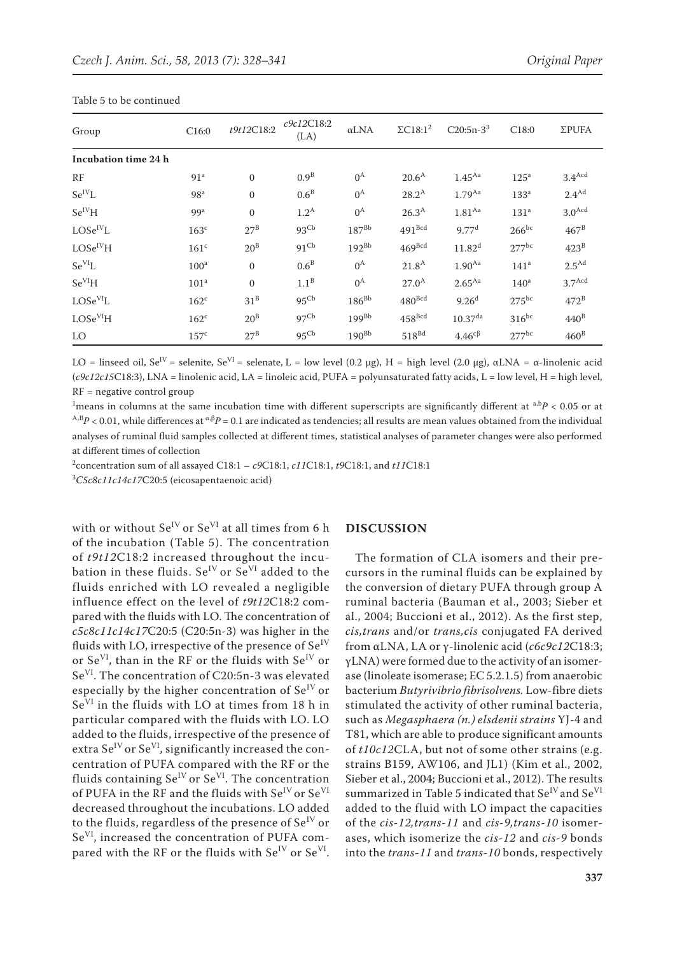| Group                | C16:0            | t9t12C18:2   | c9c12C18:2<br>(LA) | $\alpha$ LNA | $\Sigma C18:1^2$     | $C20:5n-3^3$                             | C18:0               | <b>ΣPUFA</b>         |
|----------------------|------------------|--------------|--------------------|--------------|----------------------|------------------------------------------|---------------------|----------------------|
| Incubation time 24 h |                  |              |                    |              |                      |                                          |                     |                      |
| RF                   | 91 <sup>a</sup>  | $\mathbf{0}$ | 0.9 <sup>B</sup>   | $0^{\rm A}$  | 20.6 <sup>A</sup>    | 1.45 <sup>Aa</sup>                       | 125 <sup>a</sup>    | $3.4$ <sup>Acd</sup> |
| $Se^{IV}L$           | 98 <sup>a</sup>  | $\mathbf{0}$ | 0.6 <sup>B</sup>   | $0^{\rm A}$  | $28.2^{\rm A}$       | $1.79$ <sup>Aa</sup>                     | 133 <sup>a</sup>    | $2.4^{Ad}$           |
| $Se^{IV}H$           | 99 <sup>a</sup>  | $\Omega$     | $1.2^{\text{A}}$   | $0^{\rm A}$  | 26.3 <sup>A</sup>    | 1.81 <sup>Aa</sup>                       | 131 <sup>a</sup>    | $3.0$ <sup>Acd</sup> |
| $LOSe^{IV}L$         | 163 <sup>c</sup> | $27^{\rm B}$ | 93 <sup>Cb</sup>   | $187^{Bb}$   | $491$ <sup>Bcd</sup> | 9.77 <sup>d</sup>                        | $266^{bc}$          | $467^{\rm B}$        |
| $\rm LOSe^{IV}H$     | 161 <sup>c</sup> | $20^{\rm B}$ | 91 <sup>Cb</sup>   | $192^{Bb}$   | $469$ <sup>Bcd</sup> | 11.82 <sup>d</sup>                       | $277$ <sup>bc</sup> | $423^B$              |
| $Se^{VI}L$           | 100 <sup>a</sup> | $\mathbf{0}$ | 0.6 <sup>B</sup>   | $0^{\rm A}$  | 21.8 <sup>A</sup>    | $1.90^{Aa}$                              | 141 <sup>a</sup>    | 2.5 <sup>Ad</sup>    |
| Se <sup>VI</sup> H   | 101 <sup>a</sup> | $\Omega$     | $1.1^B$            | $0^{\rm A}$  | $27.0^{\rm A}$       | $2.65^{Aa}$                              | 140 <sup>a</sup>    | 3.7 <sup>Acd</sup>   |
| LOSe <sup>VI</sup> L | $162^{\circ}$    | $31^B$       | 95 <sup>Cb</sup>   | $186^{Bb}$   | $480$ <sup>Bcd</sup> | 9.26 <sup>d</sup>                        | $275^{bc}$          | $472^B$              |
| LOSe <sup>VI</sup> H | $162^{\circ}$    | $20^{\rm B}$ | 97 <sup>Cb</sup>   | $199^{Bb}$   | $458$ <sup>Bcd</sup> | $10.37$ <sup>da</sup>                    | $316^{bc}$          | $440^{\rm B}$        |
| LO                   | 157 <sup>c</sup> | $27^{\rm B}$ | 95 <sup>Cb</sup>   | $190^{Bb}$   | $518^{Bd}$           | $4.46^{c}$ <sup><math>\beta</math></sup> | $277$ <sup>bc</sup> | $460^{\rm B}$        |

#### Table 5 to be continued

LO = linseed oil, Se<sup>IV</sup> = selenite, Se<sup>VI</sup> = selenate, L = low level (0.2 μg), H = high level (2.0 μg), αLNA = α-linolenic acid (*c9c12c15*C18:3), LNA = linolenic acid, LA = linoleic acid, PUFA = polyunsaturated fatty acids, L = low level, H = high level,  $RF = negative control group$ 

 $^1$ means in columns at the same incubation time with different superscripts are significantly different at  $a$ , $b$ *P* < 0.05 or at  $A$ ,B<sub>*P*</sub> < 0.01, while differences at <sup>α,β</sup>*P* = 0.1 are indicated as tendencies; all results are mean values obtained from the individual analyses of ruminal fluid samples collected at different times, statistical analyses of parameter changes were also performed at different times of collection

2 concentration sum of all assayed C18:1 – *c9*C18:1, *c11*C18:1, *t9*C18:1, and *t11*C18:1

3 *C5c8c11c14c17*C20:5 (eicosapentaenoic acid)

with or without  $Se^{IV}$  or  $Se^{VI}$  at all times from 6 h of the incubation (Table 5). The concentration of *t9t12*C18:2 increased throughout the incubation in these fluids.  $Se^{IV}$  or  $Se^{VI}$  added to the fluids enriched with LO revealed a negligible influence effect on the level of *t9t12*C18:2 compared with the fluids with LO. The concentration of *c5c8c11c14c17*C20:5 (C20:5n-3) was higher in the fluids with LO, irrespective of the presence of  $Se<sup>IV</sup>$ or Se<sup>VI</sup>, than in the RF or the fluids with  $Se^{IV}$  or SeVI. The concentration of C20:5n-3 was elevated especially by the higher concentration of  $Se^{IV}$  or SeVI in the fluids with LO at times from 18 h in particular compared with the fluids with LO. LO added to the fluids, irrespective of the presence of extra  $Se^{IV}$  or  $Se^{VI}$ , significantly increased the concentration of PUFA compared with the RF or the fluids containing  $Se^{IV}$  or  $Se^{VI}$ . The concentration of PUFA in the RF and the fluids with Se<sup>IV</sup> or Se<sup>VI</sup> decreased throughout the incubations. LO added to the fluids, regardless of the presence of  $Se^{IV}$  or SeVI, increased the concentration of PUFA compared with the RF or the fluids with  $Se^{IV}$  or  $Se^{VI}$ .

#### **DISCUSSION**

The formation of CLA isomers and their precursors in the ruminal fluids can be explained by the conversion of dietary PUFA through group A ruminal bacteria (Bauman et al., 2003; Sieber et al., 2004; Buccioni et al., 2012). As the first step, *cis,trans* and/or *trans,cis* conjugated FA derived from αLNA, LA or γ-linolenic acid (*c6c9c12*C18:3; γLNA) were formed due to the activity of an isomerase (linoleate isomerase; EC 5.2.1.5) from anaerobic bacterium *Butyrivibrio fibrisolvens.* Low-fibre diets stimulated the activity of other ruminal bacteria, such as *Megasphaera (n.) elsdenii strains* YJ-4 and T81, which are able to produce significant amounts of *t10c12*CLA, but not of some other strains (e.g. strains B159, AW106, and JL1) (Kim et al., 2002, Sieber et al., 2004; Buccioni et al., 2012). The results summarized in Table 5 indicated that  $\text{Se}^{\text{IV}}$  and  $\text{Se}^{\text{VI}}$ added to the fluid with LO impact the capacities of the *cis-12,trans-11* and *cis-9,trans-10* isomerases, which isomerize the *cis-12* and *cis-9* bonds into the *trans-11* and *trans-10* bonds, respectively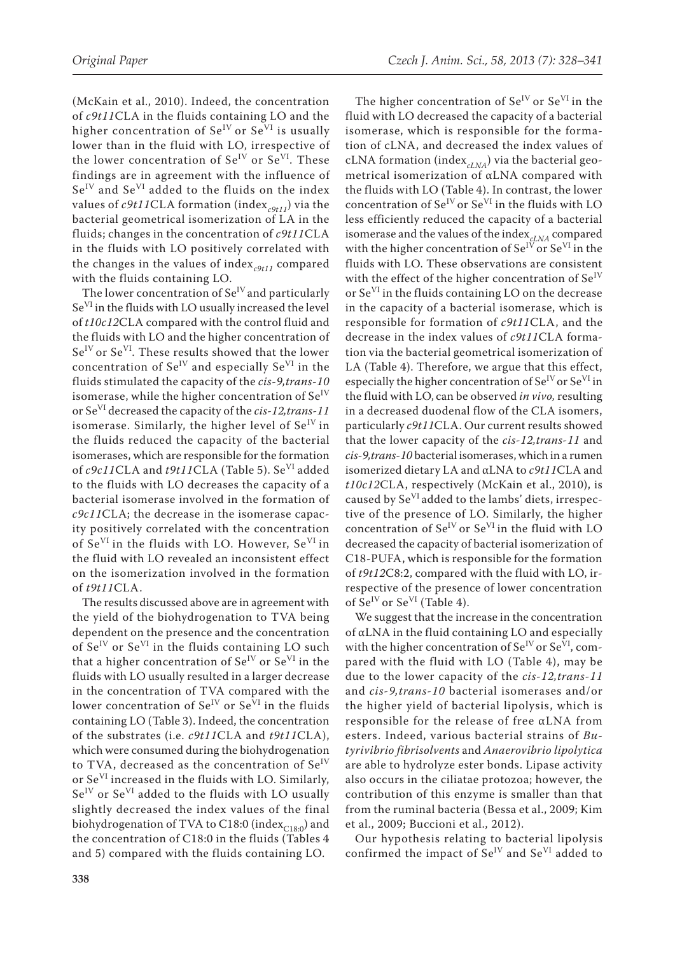The higher concentration of  $Se^{IV}$  or  $Se^{VI}$  in the

(McKain et al., 2010). Indeed, the concentration of *c9t11*CLA in the fluids containing LO and the higher concentration of  $Se^{IV}$  or  $Se^{VI}$  is usually lower than in the fluid with LO, irrespective of the lower concentration of  $Se^{IV}$  or  $Se^{VI}$ . These findings are in agreement with the influence of Se<sup>IV</sup> and Se<sup>VI</sup> added to the fluids on the index values of  $c9t11CLA$  formation (index<sub>c9t11</sub>) via the bacterial geometrical isomerization of LA in the fluids; changes in the concentration of *c9t11*CLA in the fluids with LO positively correlated with the changes in the values of index<sub>c9t11</sub> compared with the fluids containing LO.

The lower concentration of  $Se^{IV}$  and particularly  $Se<sup>VI</sup>$  in the fluids with LO usually increased the level of *t10c12*CLA compared with the control fluid and the fluids with LO and the higher concentration of  $Se^{IV}$  or  $Se^{VI}$ . These results showed that the lower concentration of  $Se^{IV}$  and especially  $Se^{VI}$  in the fluids stimulated the capacity of the *cis-9,trans-10*  isomerase, while the higher concentration of  $Se<sup>IV</sup>$ or SeVI decreased the capacity of the *cis-12,trans-11*  isomerase. Similarly, the higher level of  $Se<sup>IV</sup>$  in the fluids reduced the capacity of the bacterial isomerases, which are responsible for the formation of *c9c11*CLA and *t9t11*CLA (Table 5). SeVI added to the fluids with LO decreases the capacity of a bacterial isomerase involved in the formation of *c9c11*CLA; the decrease in the isomerase capacity positively correlated with the concentration of Se<sup>VI</sup> in the fluids with LO. However, Se<sup>VI</sup> in the fluid with LO revealed an inconsistent effect on the isomerization involved in the formation of *t9t11*CLA.

The results discussed above are in agreement with the yield of the biohydrogenation to TVA being dependent on the presence and the concentration of  $Se^{IV}$  or  $Se^{VI}$  in the fluids containing LO such that a higher concentration of  $Se^{IV}$  or  $Se^{VI}$  in the fluids with LO usually resulted in a larger decrease in the concentration of TVA compared with the lower concentration of  $Se^{IV}$  or  $Se^{VI}$  in the fluids containing LO (Table 3). Indeed, the concentration of the substrates (i.e. *c9t11*CLA and *t9t11*CLA), which were consumed during the biohydrogenation to TVA, decreased as the concentration of  $Se<sup>IV</sup>$ or SeVI increased in the fluids with LO. Similarly, Se<sup>IV</sup> or Se<sup>VI</sup> added to the fluids with LO usually slightly decreased the index values of the final biohydrogenation of TVA to C18:0 (index $_{C18:0}$ ) and the concentration of C18:0 in the fluids (Tables 4 and 5) compared with the fluids containing LO.

fluid with LO decreased the capacity of a bacterial isomerase, which is responsible for the formation of cLNA, and decreased the index values of cLNA formation (index $_{cLNA}$ ) via the bacterial geometrical isomerization of αLNA compared with the fluids with LO (Table 4). In contrast, the lower concentration of  $Se^{IV}$  or  $Se^{VI}$  in the fluids with LO less efficiently reduced the capacity of a bacterial isomerase and the values of the index*cLNA* compared with the higher concentration of  $Se^{IV}$  or  $Se^{VI}$  in the fluids with LO. These observations are consistent with the effect of the higher concentration of  $Se<sup>IV</sup>$ or SeVI in the fluids containing LO on the decrease in the capacity of a bacterial isomerase, which is responsible for formation of *c9t11*CLA, and the decrease in the index values of *c9t11*CLA formation via the bacterial geometrical isomerization of LA (Table 4). Therefore, we argue that this effect, especially the higher concentration of  $Se<sup>IV</sup>$  or  $Se<sup>VI</sup>$  in the fluid with LO, can be observed *in vivo,* resulting in a decreased duodenal flow of the CLA isomers, particularly *c9t11*CLA. Our current results showed that the lower capacity of the *cis-12,trans-11* and *cis-9,trans-10* bacterial isomerases, which in a rumen isomerized dietary LA and αLNA to *c9t11*CLA and *t10c12*CLA, respectively (McKain et al., 2010), is caused by  $Se^{VI}$  added to the lambs' diets, irrespective of the presence of LO. Similarly, the higher concentration of Se<sup>IV</sup> or Se<sup>VI</sup> in the fluid with LO decreased the capacity of bacterial isomerization of C18-PUFA, which is responsible for the formation of *t9t12*C8:2, compared with the fluid with LO, irrespective of the presence of lower concentration of  $Se^{IV}$  or  $Se^{VI}$  (Table 4).

We suggest that the increase in the concentration of αLNA in the fluid containing LO and especially with the higher concentration of  $Se^{IV}$  or  $Se^{VI}$ , compared with the fluid with LO (Table 4), may be due to the lower capacity of the *cis-12,trans-11* and *cis-9,trans-10* bacterial isomerases and/or the higher yield of bacterial lipolysis, which is responsible for the release of free αLNA from esters. Indeed, various bacterial strains of *Butyrivibrio fibrisolvents* and *Anaerovibrio lipolytica*  are able to hydrolyze ester bonds. Lipase activity also occurs in the ciliatae protozoa; however, the contribution of this enzyme is smaller than that from the ruminal bacteria (Bessa et al., 2009; Kim et al., 2009; Buccioni et al., 2012).

Our hypothesis relating to bacterial lipolysis confirmed the impact of Se<sup>IV</sup> and Se<sup>VI</sup> added to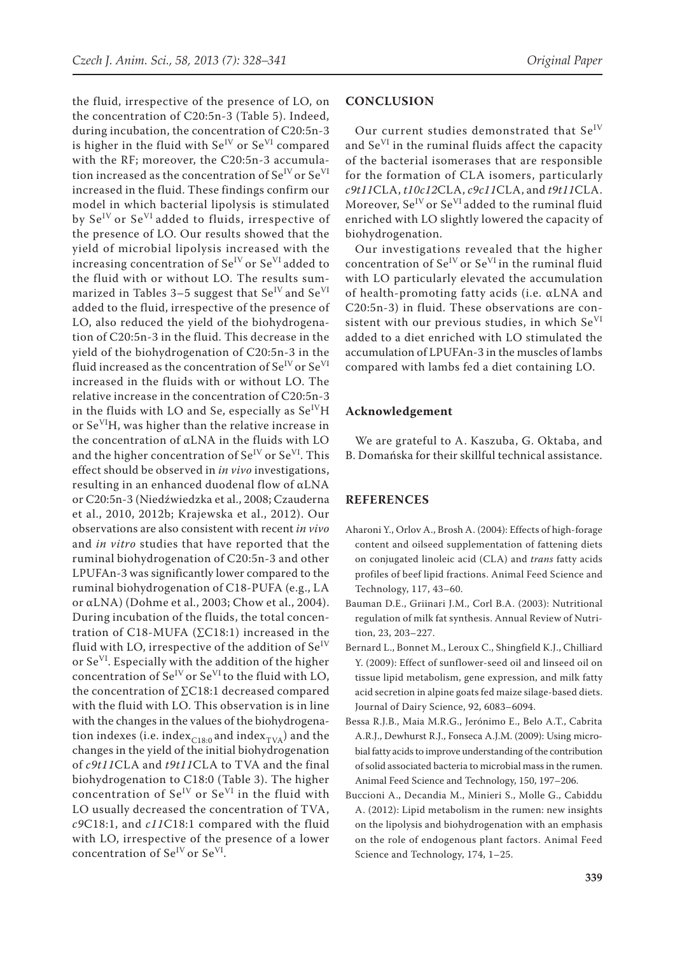the fluid, irrespective of the presence of LO, on the concentration of C20:5n-3 (Table 5). Indeed, during incubation, the concentration of C20:5n-3 is higher in the fluid with  $Se^{IV}$  or  $Se^{VI}$  compared with the RF; moreover, the C20:5n-3 accumulation increased as the concentration of  $\mathrm{Se}^{\mathrm{IV}}$  or  $\mathrm{Se}^{\mathrm{VI}}$ increased in the fluid. These findings confirm our model in which bacterial lipolysis is stimulated by Se<sup>IV</sup> or Se<sup>VI</sup> added to fluids, irrespective of the presence of LO. Our results showed that the yield of microbial lipolysis increased with the increasing concentration of  $Se^{IV}$  or  $Se^{VI}$  added to the fluid with or without LO. The results summarized in Tables 3–5 suggest that  $Se<sup>IV</sup>$  and  $Se<sup>VI</sup>$ added to the fluid, irrespective of the presence of LO, also reduced the yield of the biohydrogenation of C20:5n-3 in the fluid. This decrease in the yield of the biohydrogenation of C20:5n-3 in the fluid increased as the concentration of  $\text{Se}^{\text{IV}}$  or  $\text{Se}^{\text{VI}}$ increased in the fluids with or without LO. The relative increase in the concentration of C20:5n-3 in the fluids with LO and Se, especially as  $Se<sup>IV</sup>H$ or Se<sup>VI</sup>H, was higher than the relative increase in the concentration of αLNA in the fluids with LO and the higher concentration of  $Se^{IV}$  or  $Se^{VI}$ . This effect should be observed in *in vivo* investigations, resulting in an enhanced duodenal flow of αLNA or C20:5n-3 (Niedźwiedzka et al., 2008; Czauderna et al., 2010, 2012b; Krajewska et al., 2012). Our observations are also consistent with recent *in vivo*  and *in vitro* studies that have reported that the ruminal biohydrogenation of C20:5n-3 and other LPUFAn-3 was significantly lower compared to the ruminal biohydrogenation of C18-PUFA (e.g., LA or αLNA) (Dohme et al., 2003; Chow et al., 2004). During incubation of the fluids, the total concentration of C18-MUFA ( $\Sigma$ C18:1) increased in the fluid with LO, irrespective of the addition of  $Se^{IV}$ or SeVI. Especially with the addition of the higher concentration of  $Se^{IV}$  or  $Se^{VI}$  to the fluid with LO, the concentration of ∑C18:1 decreased compared with the fluid with LO. This observation is in line with the changes in the values of the biohydrogenation indexes (i.e. index<sub>C18:0</sub> and index<sub>TVA</sub>) and the changes in the yield of the initial biohydrogenation of *c9t11*CLA and *t9t11*CLA to TVA and the final biohydrogenation to C18:0 (Table 3). The higher concentration of  $Se^{IV}$  or  $Se^{VI}$  in the fluid with LO usually decreased the concentration of TVA, *c9*C18:1, and *c11*C18:1 compared with the fluid with LO, irrespective of the presence of a lower concentration of  $Se^{IV}$  or  $Se^{VI}$ .

#### **CONCLUSION**

Our current studies demonstrated that Se<sup>IV</sup> and Se<sup>VI</sup> in the ruminal fluids affect the capacity of the bacterial isomerases that are responsible for the formation of CLA isomers, particularly *c9t11*CLA, *t10c12*CLA, *c9c11*CLA, and *t9t11*CLA. Moreover,  $Se^{IV}$  or  $Se^{VI}$  added to the ruminal fluid enriched with LO slightly lowered the capacity of biohydrogenation.

Our investigations revealed that the higher concentration of  $Se^{IV}$  or  $Se^{VI}$  in the ruminal fluid with LO particularly elevated the accumulation of health-promoting fatty acids (i.e. αLNA and C20:5n-3) in fluid. These observations are consistent with our previous studies, in which  $Se<sup>VI</sup>$ added to a diet enriched with LO stimulated the accumulation of LPUFAn-3 in the muscles of lambs compared with lambs fed a diet containing LO.

#### **Acknowledgement**

We are grateful to A. Kaszuba, G. Oktaba, and B. Domańska for their skillful technical assistance.

#### **REFERENCES**

- Aharoni Y., Orlov A., Brosh A. (2004): Effects of high-forage content and oilseed supplementation of fattening diets on conjugated linoleic acid (CLA) and *trans* fatty acids profiles of beef lipid fractions. Animal Feed Science and Technology, 117, 43–60.
- Bauman D.E., Griinari J.M., Corl B.A. (2003): Nutritional regulation of milk fat synthesis. Annual Review of Nutrition, 23, 203–227.
- Bernard L., Bonnet M., Leroux C., Shingfield K.J., Chilliard Y. (2009): Effect of sunflower-seed oil and linseed oil on tissue lipid metabolism, gene expression, and milk fatty acid secretion in alpine goats fed maize silage-based diets. Journal of Dairy Science, 92, 6083–6094.
- Bessa R.J.B., Maia M.R.G., Jerónimo E., Belo A.T., Cabrita A.R.J., Dewhurst R.J., Fonseca A.J.M. (2009): Using microbial fatty acids to improve understanding of the contribution of solid associated bacteria to microbial mass in the rumen. Animal Feed Science and Technology, 150, 197–206.
- Buccioni A., Decandia M., Minieri S., Molle G., Cabiddu A. (2012): Lipid metabolism in the rumen: new insights on the lipolysis and biohydrogenation with an emphasis on the role of endogenous plant factors. Animal Feed Science and Technology, 174, 1–25.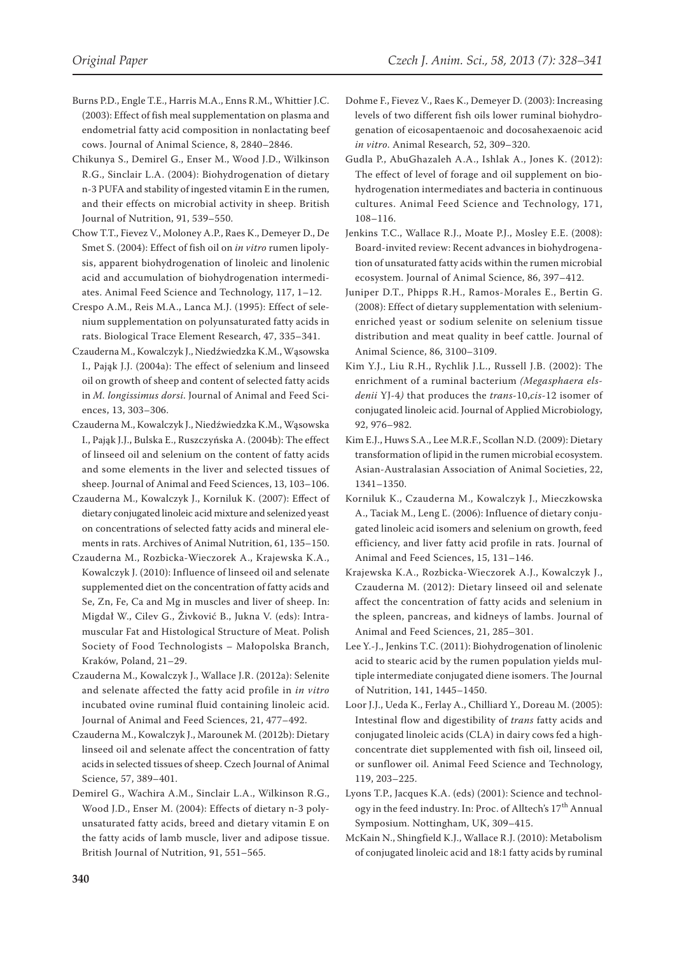- Burns P.D., Engle T.E., Harris M.A., Enns R.M., Whittier J.C. (2003): Effect of fish meal supplementation on plasma and endometrial fatty acid composition in nonlactating beef cows. Journal of Animal Science, 8, 2840–2846.
- Chikunya S., Demirel G., Enser M., Wood J.D., Wilkinson R.G., Sinclair L.A. (2004): Biohydrogenation of dietary n-3 PUFA and stability of ingested vitamin E in the rumen, and their effects on microbial activity in sheep. British Journal of Nutrition, 91, 539–550.
- Chow T.T., Fievez V., Moloney A.P., Raes K., Demeyer D., De Smet S. (2004): Effect of fish oil on *in vitro* rumen lipolysis, apparent biohydrogenation of linoleic and linolenic acid and accumulation of biohydrogenation intermediates. Animal Feed Science and Technology, 117, 1–12.
- Crespo A.M., Reis M.A., Lanca M.J. (1995): Effect of selenium supplementation on polyunsaturated fatty acids in rats. Biological Trace Element Research, 47, 335–341.
- Czauderna M., Kowalczyk J., Niedźwiedzka K.M., Wąsowska I., Pająk J.J. (2004a): The effect of selenium and linseed oil on growth of sheep and content of selected fatty acids in *M. longissimus dorsi*. Journal of Animal and Feed Sciences, 13, 303–306.
- Czauderna M., Kowalczyk J., Niedźwiedzka K.M., Wąsowska I., Pająk J.J., Bulska E., Ruszczyńska A. (2004b): The effect of linseed oil and selenium on the content of fatty acids and some elements in the liver and selected tissues of sheep. Journal of Animal and Feed Sciences, 13, 103–106.
- Czauderna M., Kowalczyk J., Korniluk K. (2007): Effect of dietary conjugated linoleic acid mixture and selenized yeast on concentrations of selected fatty acids and mineral elements in rats. Archives of Animal Nutrition, 61, 135–150.
- Czauderna M., Rozbicka-Wieczorek A., Krajewska K.A., Kowalczyk J. (2010): Influence of linseed oil and selenate supplemented diet on the concentration of fatty acids and Se, Zn, Fe, Ca and Mg in muscles and liver of sheep. In: Migdał W., Cilev G., Živković B., Jukna V. (eds): Intramuscular Fat and Histological Structure of Meat. Polish Society of Food Technologists – Małopolska Branch, Kraków, Poland, 21–29.
- Czauderna M., Kowalczyk J., Wallace J.R. (2012a): Selenite and selenate affected the fatty acid profile in *in vitro*  incubated ovine ruminal fluid containing linoleic acid. Journal of Animal and Feed Sciences, 21, 477–492.
- Czauderna M., Kowalczyk J., Marounek M. (2012b): Dietary linseed oil and selenate affect the concentration of fatty acids in selected tissues of sheep. Czech Journal of Animal Science, 57, 389–401.
- Demirel G., Wachira A.M., Sinclair L.A., Wilkinson R.G., Wood J.D., Enser M. (2004): Effects of dietary n-3 polyunsaturated fatty acids, breed and dietary vitamin E on the fatty acids of lamb muscle, liver and adipose tissue. British Journal of Nutrition, 91, 551–565.
- Dohme F., Fievez V., Raes K., Demeyer D. (2003): Increasing levels of two different fish oils lower ruminal biohydrogenation of eicosapentaenoic and docosahexaenoic acid *in vitro*. Animal Research, 52, 309–320.
- Gudla P., AbuGhazaleh A.A., Ishlak A., Jones K. (2012): The effect of level of forage and oil supplement on biohydrogenation intermediates and bacteria in continuous cultures. Animal Feed Science and Technology, 171, 108–116.
- Jenkins T.C., Wallace R.J., Moate P.J., Mosley E.E. (2008): Board-invited review: Recent advances in biohydrogenation of unsaturated fatty acids within the rumen microbial ecosystem. Journal of Animal Science, 86, 397–412.
- Juniper D.T., Phipps R.H., Ramos-Morales E., Bertin G. (2008): Effect of dietary supplementation with seleniumenriched yeast or sodium selenite on selenium tissue distribution and meat quality in beef cattle. Journal of Animal Science, 86, 3100–3109.
- Kim Y.J., Liu R.H., Rychlik J.L., Russell J.B. (2002): The enrichment of a ruminal bacterium *(Megasphaera elsdenii* YJ-4*)* that produces the *trans*-10,*cis*-12 isomer of conjugated linoleic acid. Journal of Applied Microbiology, 92, 976–982.
- Kim E.J., Huws S.A., Lee M.R.F., Scollan N.D. (2009): Dietary transformation of lipid in the rumen microbial ecosystem. Asian-Australasian Association of Animal Societies, 22, 1341–1350.
- Korniluk K., Czauderna M., Kowalczyk J., Mieczkowska A., Taciak M., Leng Ľ. (2006): Influence of dietary conjugated linoleic acid isomers and selenium on growth, feed efficiency, and liver fatty acid profile in rats. Journal of Animal and Feed Sciences, 15, 131–146.
- Krajewska K.A., Rozbicka-Wieczorek A.J., Kowalczyk J., Czauderna M. (2012): Dietary linseed oil and selenate affect the concentration of fatty acids and selenium in the spleen, pancreas, and kidneys of lambs. Journal of Animal and Feed Sciences, 21, 285–301.
- Lee Y.-J., Jenkins T.C. (2011): Biohydrogenation of linolenic acid to stearic acid by the rumen population yields multiple intermediate conjugated diene isomers. The Journal of Nutrition, 141, 1445–1450.
- Loor J.J., Ueda K., Ferlay A., Chilliard Y., Doreau M. (2005): Intestinal flow and digestibility of *trans* fatty acids and conjugated linoleic acids (CLA) in dairy cows fed a highconcentrate diet supplemented with fish oil, linseed oil, or sunflower oil. Animal Feed Science and Technology, 119, 203–225.
- Lyons T.P., Jacques K.A. (eds) (2001): Science and technology in the feed industry. In: Proc. of Alltech's 17<sup>th</sup> Annual Symposium. Nottingham, UK, 309–415.
- McKain N., Shingfield K.J., Wallace R.J. (2010): Metabolism of conjugated linoleic acid and 18:1 fatty acids by ruminal